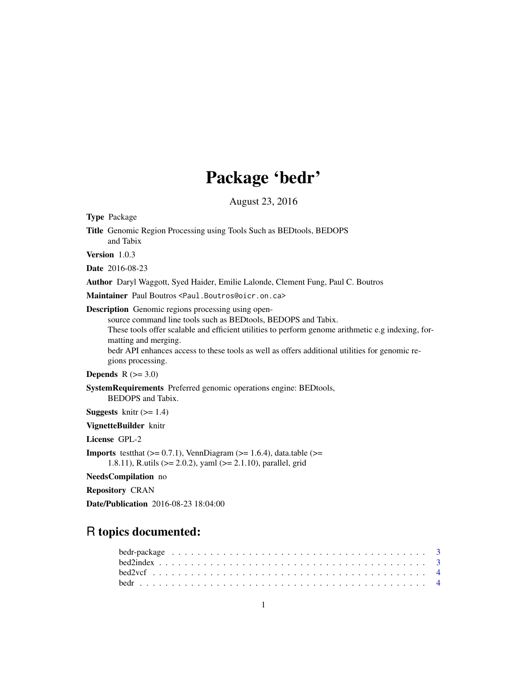# Package 'bedr'

August 23, 2016

<span id="page-0-0"></span>Type Package Title Genomic Region Processing using Tools Such as BEDtools, BEDOPS and Tabix Version 1.0.3 Date 2016-08-23 Author Daryl Waggott, Syed Haider, Emilie Lalonde, Clement Fung, Paul C. Boutros Maintainer Paul Boutros <Paul.Boutros@oicr.on.ca> Description Genomic regions processing using opensource command line tools such as BEDtools, BEDOPS and Tabix. These tools offer scalable and efficient utilities to perform genome arithmetic e.g indexing, formatting and merging. bedr API enhances access to these tools as well as offers additional utilities for genomic regions processing. Depends  $R$  ( $>= 3.0$ ) SystemRequirements Preferred genomic operations engine: BEDtools, BEDOPS and Tabix. **Suggests** knitr  $(>= 1.4)$ VignetteBuilder knitr License GPL-2 **Imports** test that  $(>= 0.7.1)$ , VennDiagram  $(>= 1.6.4)$ , data.table  $(>= 1.6.4)$ 1.8.11), R.utils (>= 2.0.2), yaml (>= 2.1.10), parallel, grid NeedsCompilation no Repository CRAN Date/Publication 2016-08-23 18:04:00

## R topics documented:

| bedr-package $\ldots \ldots \ldots \ldots \ldots \ldots \ldots \ldots \ldots \ldots \ldots \ldots \ldots$ |  |
|-----------------------------------------------------------------------------------------------------------|--|
|                                                                                                           |  |
|                                                                                                           |  |
|                                                                                                           |  |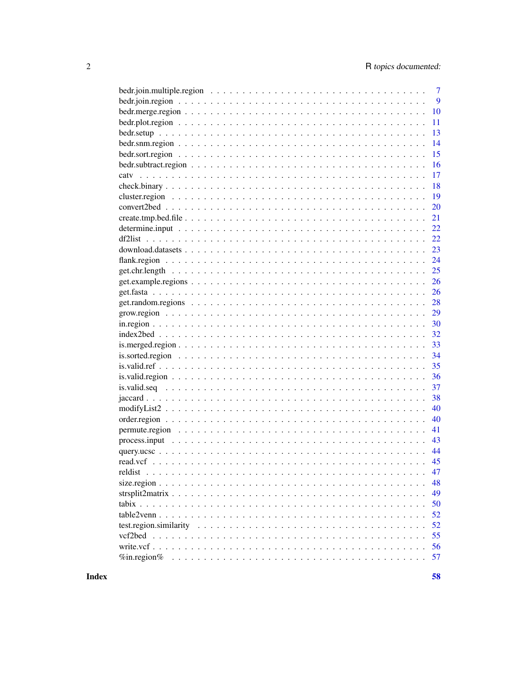| $\overline{7}$                                                                                                                   |
|----------------------------------------------------------------------------------------------------------------------------------|
| 9                                                                                                                                |
| 10                                                                                                                               |
| 11                                                                                                                               |
| 13                                                                                                                               |
| 14                                                                                                                               |
|                                                                                                                                  |
| 15                                                                                                                               |
| 16                                                                                                                               |
| 17                                                                                                                               |
| 18                                                                                                                               |
| 19                                                                                                                               |
| 20                                                                                                                               |
| 21                                                                                                                               |
| 22                                                                                                                               |
| 22                                                                                                                               |
| 23                                                                                                                               |
| 24                                                                                                                               |
| 25                                                                                                                               |
| 26                                                                                                                               |
| 26                                                                                                                               |
| 28                                                                                                                               |
| 29                                                                                                                               |
| 30                                                                                                                               |
| 32                                                                                                                               |
| 33                                                                                                                               |
| 34                                                                                                                               |
| 35                                                                                                                               |
| 36                                                                                                                               |
| 37                                                                                                                               |
| 38                                                                                                                               |
| 40<br>$\text{modifyList2} \dots \dots \dots \dots \dots \dots \dots \dots \dots \dots \dots \dots \dots \dots \dots \dots \dots$ |
| 40                                                                                                                               |
| 41                                                                                                                               |
| 43                                                                                                                               |
| 44                                                                                                                               |
| 45                                                                                                                               |
| 47<br>reldist                                                                                                                    |
|                                                                                                                                  |
| 48                                                                                                                               |
| 49                                                                                                                               |
| 50                                                                                                                               |
| 52                                                                                                                               |
| 52                                                                                                                               |
| vcf2bed<br>55                                                                                                                    |
| 56                                                                                                                               |
| $\%$ in.region $\%$<br>57                                                                                                        |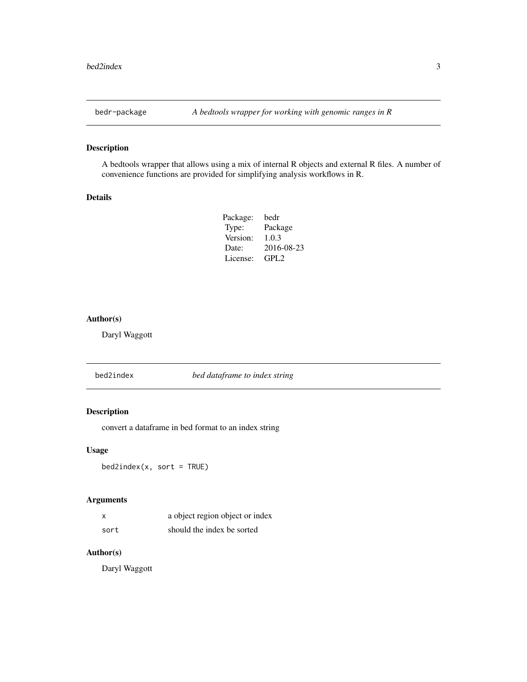## <span id="page-2-0"></span>Description

A bedtools wrapper that allows using a mix of internal R objects and external R files. A number of convenience functions are provided for simplifying analysis workflows in R.

## Details

| bedr       |
|------------|
| Package    |
| 1.0.3      |
| 2016-08-23 |
| GPI.2      |
|            |

#### Author(s)

Daryl Waggott

bed2index *bed dataframe to index string*

## Description

convert a dataframe in bed format to an index string

#### Usage

bed2index(x, sort = TRUE)

## Arguments

| x    | a object region object or index |
|------|---------------------------------|
| sort | should the index be sorted      |

## Author(s)

Daryl Waggott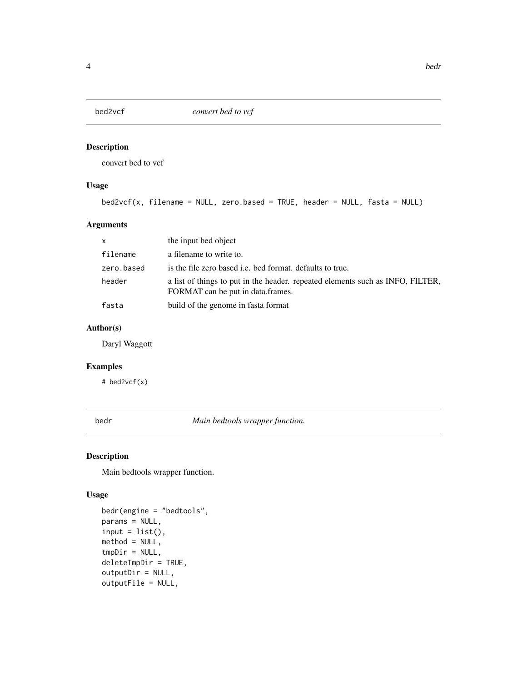<span id="page-3-0"></span>

## Description

convert bed to vcf

## Usage

```
bed2vcf(x, filename = NULL, zero.based = TRUE, header = NULL, fasta = NULL)
```
## Arguments

| x          | the input bed object                                                                                                |
|------------|---------------------------------------------------------------------------------------------------------------------|
| filename   | a filename to write to.                                                                                             |
| zero.based | is the file zero based <i>i.e.</i> bed format. defaults to true.                                                    |
| header     | a list of things to put in the header. repeated elements such as INFO, FILTER,<br>FORMAT can be put in data.frames. |
| fasta      | build of the genome in fasta format                                                                                 |

## Author(s)

Daryl Waggott

## Examples

# bed2vcf(x)

bedr *Main bedtools wrapper function.*

## Description

Main bedtools wrapper function.

## Usage

```
bedr(engine = "bedtools",
params = NULL,
input = list(),
method = NULL,
tmpDir = NULL,deleteTmpDir = TRUE,
outputDir = NULL,
outputFile = NULL,
```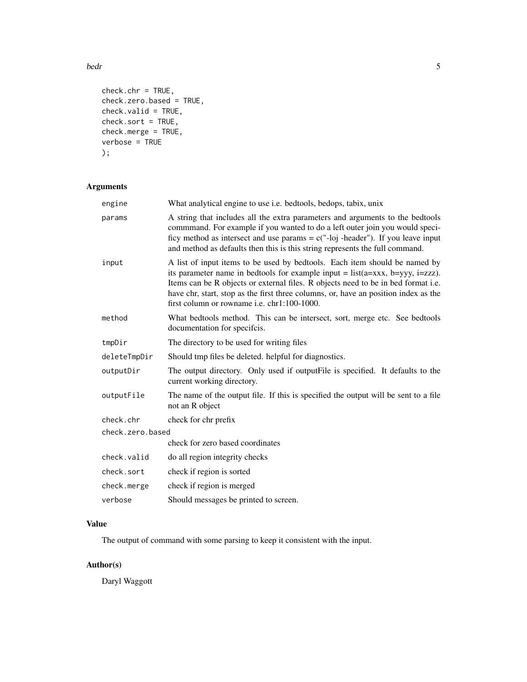bedr 5

```
check.chr = TRUE,
check.zero.based = TRUE,
check.valid = TRUE,
check.sort = TRUE,
check.merge = TRUE,
verbose = TRUE
);
```
## Arguments

| engine           | What analytical engine to use i.e. bedtools, bedops, tabix, unix                                                                                                                                                                                                                                                                                                                                 |
|------------------|--------------------------------------------------------------------------------------------------------------------------------------------------------------------------------------------------------------------------------------------------------------------------------------------------------------------------------------------------------------------------------------------------|
| params           | A string that includes all the extra parameters and arguments to the bedtools<br>commmand. For example if you wanted to do a left outer join you would speci-<br>ficy method as intersect and use params = $c("-loj -header")$ . If you leave input<br>and method as defaults then this is this string represents the full command.                                                              |
| input            | A list of input items to be used by bedtools. Each item should be named by<br>its parameter name in bedtools for example input = $list(a=xxx, b=yyy, i=zzz)$ .<br>Items can be R objects or external files. R objects need to be in bed format i.e.<br>have chr, start, stop as the first three columns, or, have an position index as the<br>first column or rowname <i>i.e.</i> chr1:100-1000. |
| method           | What bedtools method. This can be intersect, sort, merge etc. See bedtools<br>documentation for specifcis.                                                                                                                                                                                                                                                                                       |
| tmpDir           | The directory to be used for writing files                                                                                                                                                                                                                                                                                                                                                       |
| deleteTmpDir     | Should tmp files be deleted. helpful for diagnostics.                                                                                                                                                                                                                                                                                                                                            |
| outputDir        | The output directory. Only used if output File is specified. It defaults to the<br>current working directory.                                                                                                                                                                                                                                                                                    |
| outputFile       | The name of the output file. If this is specified the output will be sent to a file<br>not an R object                                                                                                                                                                                                                                                                                           |
| check.chr        | check for chr prefix                                                                                                                                                                                                                                                                                                                                                                             |
| check.zero.based |                                                                                                                                                                                                                                                                                                                                                                                                  |
|                  | check for zero based coordinates                                                                                                                                                                                                                                                                                                                                                                 |
| check.valid      | do all region integrity checks                                                                                                                                                                                                                                                                                                                                                                   |
| check.sort       | check if region is sorted                                                                                                                                                                                                                                                                                                                                                                        |
| check.merge      | check if region is merged                                                                                                                                                                                                                                                                                                                                                                        |
| verbose          | Should messages be printed to screen.                                                                                                                                                                                                                                                                                                                                                            |

## Value

The output of command with some parsing to keep it consistent with the input.

## Author(s)

Daryl Waggott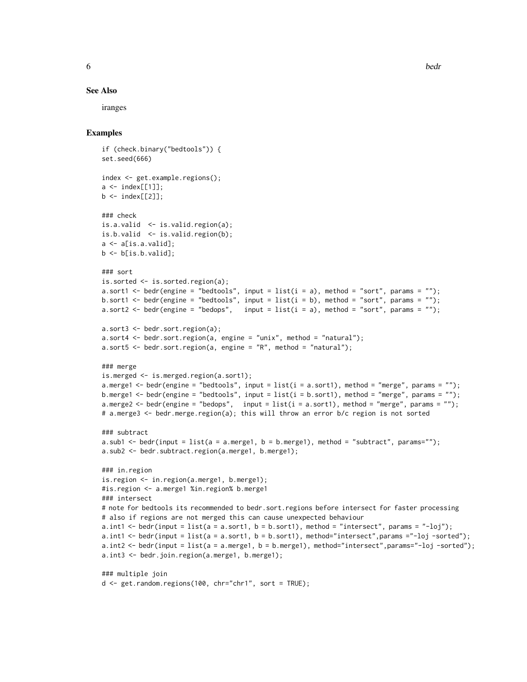#### See Also

iranges

```
if (check.binary("bedtools")) {
set.seed(666)
index <- get.example.regions();
a \leq - index[111]:
b \leftarrow \text{index}[[2]];
### check
is.a.valid <- is.valid.region(a);
is.b.valid \leq is.valid.region(b);
a \leftarrow a[is.a.valid];b \leftarrow b[i s.b.valaid];### sort
is.sorted <- is.sorted.region(a);
a.sort1 <- bedr(engine = "bedtools", input = list(i = a), method = "sort", params = "");
b.sort1 <- bedr(engine = "bedtools", input = list(i = b), method = "sort", params = "");
a.sort2 <- bedr(engine = "bedops", input = list(i = a), method = "sort", params = "");
a.sort3 \leq bedr.sort.region(a);
a.sort4 <- bedr.sort.region(a, engine = "unix", method = "natural");
a.sort5 \leq bedr.sort.region(a, engine = "R", method = "natural");
### merge
is.merged <- is.merged.region(a.sort1);
a.merge1 <- bedr(engine = "bedtools", input = list(i = a.sort1), method = "merge", params = "");
b.merge1 <- bedr(engine = "bedtools", input = list(i = b.sort1), method = "merge", params = "");
a.merge2 <- bedr(engine = "bedops", input = list(i = a.sort1), method = "merge", params = "");
# a.merge3 <- bedr.merge.region(a); this will throw an error b/c region is not sorted
### subtract
a.sub1 \le bedr(input = list(a = a.merge1, b = b.merge1), method = "subtract", params="");
a.sub2 <- bedr.subtract.region(a.merge1, b.merge1);
### in.region
is.region <- in.region(a.merge1, b.merge1);
#is.region <- a.merge1 %in.region% b.merge1
### intersect
# note for bedtools its recommended to bedr.sort.regions before intersect for faster processing
# also if regions are not merged this can cause unexpected behaviour
a.int1 <- bedr(input = list(a = a.sort1, b = b.sort1), method = "intersect", params = "-loj");
a.int1 \leq bedr(input = list(a = a.sort1, b = b.sort1), method="intersect", params ="-loj -sorted");
a.int2 <- bedr(input = list(a = a.merge1, b = b.merge1), method="intersect",params="-loj -sorted");
a.int3 <- bedr.join.region(a.merge1, b.merge1);
### multiple join
```

```
d <- get.random.regions(100, chr="chr1", sort = TRUE);
```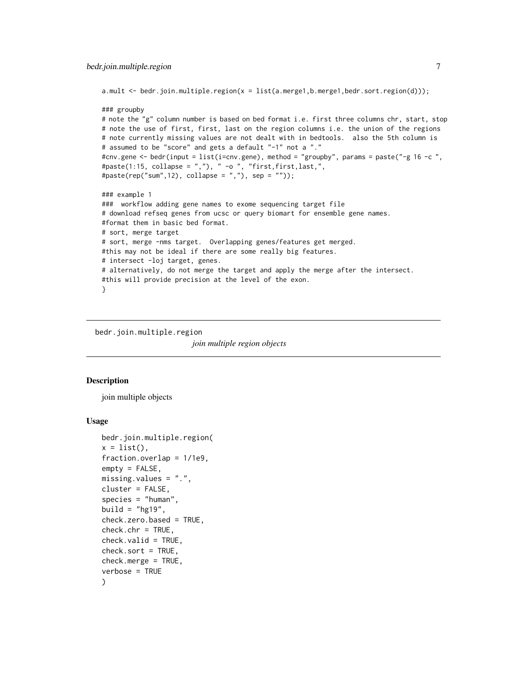```
a.mult <- bedr.join.multiple.region(x = list(a.merge1,b.merge1,bedr.sort.region(d)));
### groupby
# note the "g" column number is based on bed format i.e. first three columns chr, start, stop
# note the use of first, first, last on the region columns i.e. the union of the regions
# note currently missing values are not dealt with in bedtools. also the 5th column is
# assumed to be "score" and gets a default "-1" not a "."
#cnv.gene <- bedr(input = list(i=cnv.gene), method = "groupby", params = paste("-g 16 -c ",
#paste(1:15, collapse = ","), " -o ", "first,first,last,",
#paste(rep("sum",12), collapse = ","), sep = ""));
### example 1
### workflow adding gene names to exome sequencing target file
# download refseq genes from ucsc or query biomart for ensemble gene names.
#format them in basic bed format.
# sort, merge target
# sort, merge -nms target. Overlapping genes/features get merged.
#this may not be ideal if there are some really big features.
# intersect -loj target, genes.
# alternatively, do not merge the target and apply the merge after the intersect.
#this will provide precision at the level of the exon.
}
```
bedr.join.multiple.region *join multiple region objects*

#### **Description**

join multiple objects

#### Usage

```
bedr.join.multiple.region(
x = list(),
fraction.overlap = 1/1e9,
empty = FALSE,
missing.values = ".",
cluster = FALSE,
species = "human",
build = "hg19",
check.zero.based = TRUE,
check.chr = TRUE,
check.valid = TRUE,
check.sort = TRUE,
check.merge = TRUE,
verbose = TRUE
)
```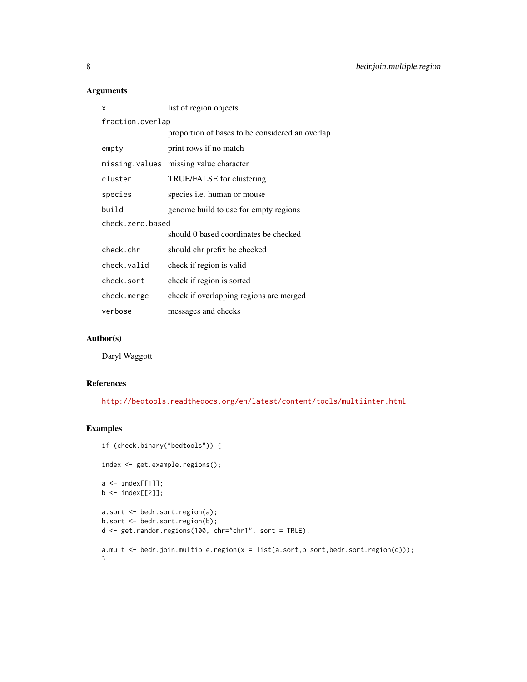## Arguments

| list of region objects                          |  |  |
|-------------------------------------------------|--|--|
| fraction.overlap                                |  |  |
| proportion of bases to be considered an overlap |  |  |
| print rows if no match                          |  |  |
| missing values missing value character          |  |  |
| TRUE/FALSE for clustering                       |  |  |
| species <i>i.e.</i> human or mouse              |  |  |
| genome build to use for empty regions           |  |  |
| check.zero.based                                |  |  |
| should 0 based coordinates be checked           |  |  |
| should chr prefix be checked                    |  |  |
| check if region is valid                        |  |  |
| check if region is sorted                       |  |  |
| check if overlapping regions are merged         |  |  |
| messages and checks                             |  |  |
|                                                 |  |  |

## Author(s)

Daryl Waggott

## References

<http://bedtools.readthedocs.org/en/latest/content/tools/multiinter.html>

```
if (check.binary("bedtools")) {
index <- get.example.regions();
a \leftarrow index[[1]];
b <- index[[2]];
a.sort <- bedr.sort.region(a);
b.sort <- bedr.sort.region(b);
d <- get.random.regions(100, chr="chr1", sort = TRUE);
a.mult <- bedr.join.multiple.region(x = list(a.sort,b.sort,bedr.sort.region(d)));
}
```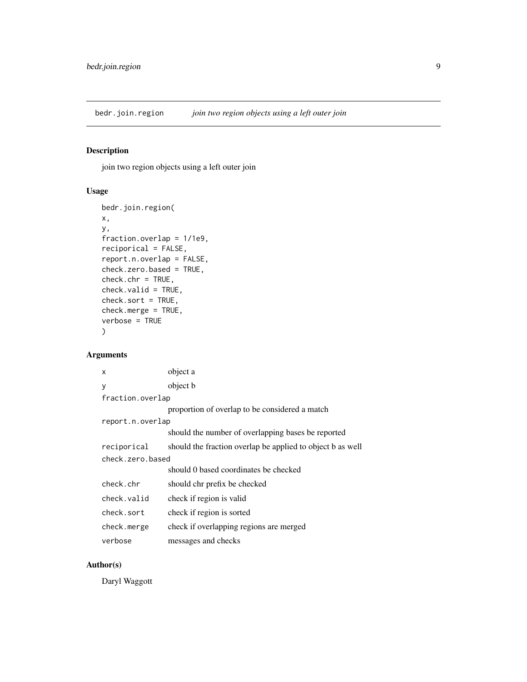<span id="page-8-0"></span>bedr.join.region *join two region objects using a left outer join*

## Description

join two region objects using a left outer join

## Usage

```
bedr.join.region(
x,
y,
fraction.overlap = 1/1e9,
reciporical = FALSE,
report.n.overlap = FALSE,
check.zero.based = TRUE,
check.chr = TRUE,
check.valid = TRUE,
check.sort = TRUE,
check.merge = TRUE,
verbose = TRUE
)
```
## Arguments

| x                | object a                                                   |  |
|------------------|------------------------------------------------------------|--|
| у                | object b                                                   |  |
| fraction.overlap |                                                            |  |
|                  | proportion of overlap to be considered a match             |  |
| report.n.overlap |                                                            |  |
|                  | should the number of overlapping bases be reported         |  |
| reciporical      | should the fraction overlap be applied to object b as well |  |
| check.zero.based |                                                            |  |
|                  | should 0 based coordinates be checked                      |  |
| check.chr        | should chr prefix be checked                               |  |
| check.valid      | check if region is valid                                   |  |
| check.sort       | check if region is sorted                                  |  |
| check.merge      | check if overlapping regions are merged                    |  |
| verbose          | messages and checks                                        |  |

## Author(s)

Daryl Waggott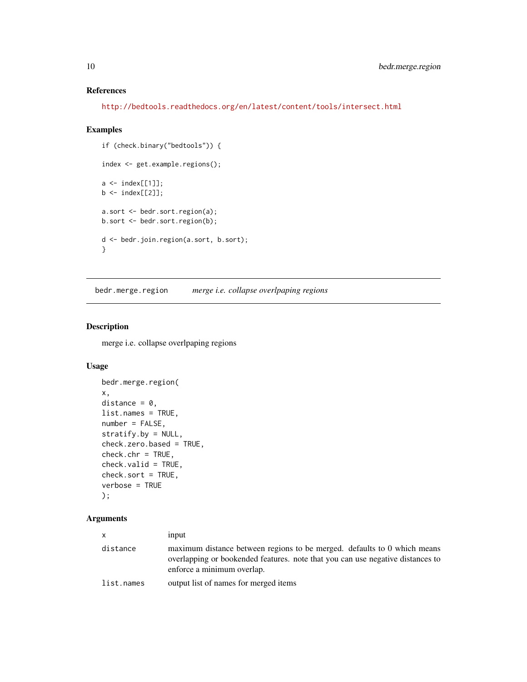## References

<http://bedtools.readthedocs.org/en/latest/content/tools/intersect.html>

#### Examples

```
if (check.binary("bedtools")) {
index <- get.example.regions();
a \leftarrow index[[1]];
b \leftarrow \text{index}[[2]];
a.sort <- bedr.sort.region(a);
b.sort <- bedr.sort.region(b);
d <- bedr.join.region(a.sort, b.sort);
}
```
<span id="page-9-1"></span>bedr.merge.region *merge i.e. collapse overlpaping regions*

## Description

merge i.e. collapse overlpaping regions

## Usage

```
bedr.merge.region(
x,
distance = 0,
list.names = TRUE,
number = FALSE,
stratify.by = NULL,
check.zero.based = TRUE,
check.chr = TRUE,
check.valid = TRUE,
check.sort = TRUE,
verbose = TRUE
);
```
#### Arguments

| X          | input                                                                                                                                                                                    |
|------------|------------------------------------------------------------------------------------------------------------------------------------------------------------------------------------------|
| distance   | maximum distance between regions to be merged. defaults to 0 which means<br>overlapping or bookended features, note that you can use negative distances to<br>enforce a minimum overlap. |
| list.names | output list of names for merged items                                                                                                                                                    |

<span id="page-9-0"></span>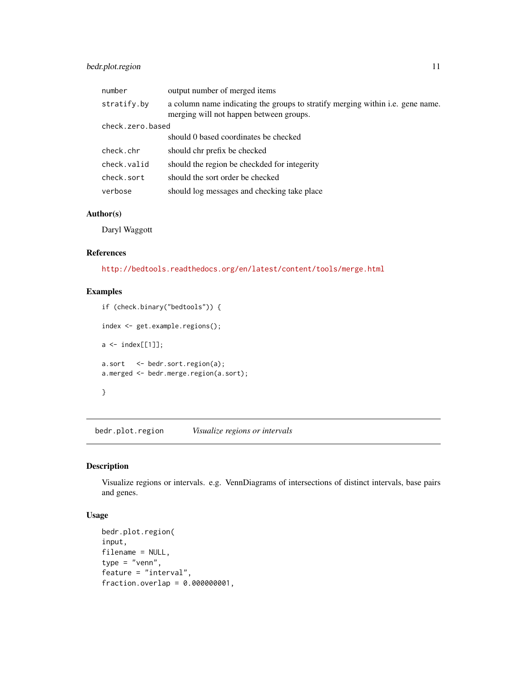## <span id="page-10-0"></span>bedr.plot.region 11

| number           | output number of merged items                                                                                             |
|------------------|---------------------------------------------------------------------------------------------------------------------------|
| stratify.by      | a column name indicating the groups to stratify merging within i.e. gene name.<br>merging will not happen between groups. |
| check.zero.based |                                                                                                                           |
|                  | should 0 based coordinates be checked                                                                                     |
| check.chr        | should chr prefix be checked                                                                                              |
| check.valid      | should the region be checkded for integerity                                                                              |
| check.sort       | should the sort order be checked                                                                                          |
| verbose          | should log messages and checking take place                                                                               |

#### Author(s)

Daryl Waggott

## References

<http://bedtools.readthedocs.org/en/latest/content/tools/merge.html>

## Examples

```
if (check.binary("bedtools")) {
index <- get.example.regions();
a \leftarrow index[[1]];
a.sort <- bedr.sort.region(a);
a.merged <- bedr.merge.region(a.sort);
}
```
bedr.plot.region *Visualize regions or intervals*

## Description

Visualize regions or intervals. e.g. VennDiagrams of intersections of distinct intervals, base pairs and genes.

## Usage

```
bedr.plot.region(
input,
filename = NULL,
type = "venn",
feature = "interval",
fraction.overlap = 0.000000001,
```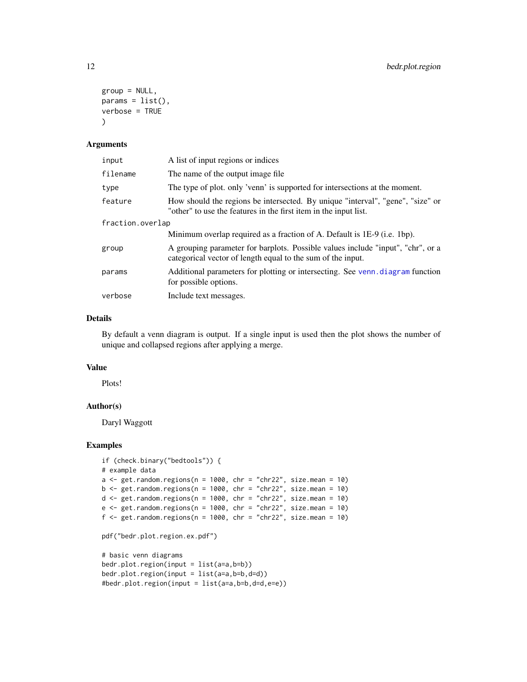```
group = NULL,
params = list(),
verbose = TRUE
\lambda
```
#### Arguments

| input            | A list of input regions or indices                                                                                                                 |  |
|------------------|----------------------------------------------------------------------------------------------------------------------------------------------------|--|
| filename         | The name of the output image file.                                                                                                                 |  |
| type             | The type of plot. only 'venn' is supported for intersections at the moment.                                                                        |  |
| feature          | How should the regions be intersected. By unique "interval", "gene", "size" or<br>"other" to use the features in the first item in the input list. |  |
| fraction.overlap |                                                                                                                                                    |  |
|                  | Minimum overlap required as a fraction of A. Default is 1E-9 (i.e. 1bp).                                                                           |  |
| group            | A grouping parameter for barplots. Possible values include "input", "chr", or a<br>categorical vector of length equal to the sum of the input.     |  |
| params           | Additional parameters for plotting or intersecting. See venn.diagram function<br>for possible options.                                             |  |
| verbose          | Include text messages.                                                                                                                             |  |

#### Details

By default a venn diagram is output. If a single input is used then the plot shows the number of unique and collapsed regions after applying a merge.

## Value

Plots!

#### Author(s)

Daryl Waggott

```
if (check.binary("bedtools")) {
# example data
a \leq get.random.regions(n = 1000, chr = "chr22", size.mean = 10)
b \leq get.random.regions(n = 1000, chr = "chr22", size.mean = 10)
d \le get.random.regions(n = 1000, chr = "chr22", size.mean = 10)
e \le get.random.regions(n = 1000, chr = "chr22", size.mean = 10)
f \leq get.random.regions(n = 1000, chr = "chr22", size.mean = 10)
pdf("bedr.plot.region.ex.pdf")
```

```
# basic venn diagrams
bedr.plot.region(input = list(a=a,b=b))
bedr.plot.region(input = list(a=a,b=b,d=d))
#bedr.plot.region(input = list(a=a,b=b,d=d,e=e))
```
<span id="page-11-0"></span>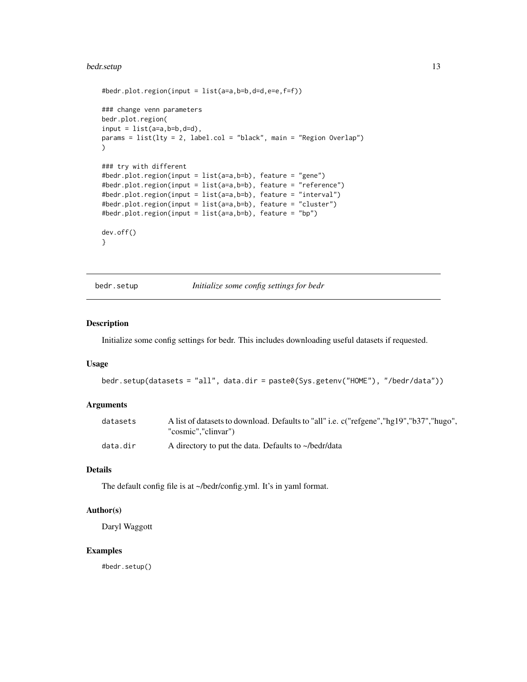#### <span id="page-12-0"></span>bedr.setup 13

```
#bedr.plot.region(input = list(a=a,b=b,d=d,e=e,f=f))
### change venn parameters
bedr.plot.region(
input = list(a=a, b=b, d=d),
params = list(lty = 2, label.col = "black", main = "Region Overlap")
\mathcal{L}### try with different
#bedr.plot.region(input = list(a=a,b=b), feature = "gene")
#bedr.plot.region(input = list(a=a,b=b), feature = "reference")
#bedr.plot.region(input = list(a=a,b=b), feature = "interval")
#bedr.plot.region(input = list(a=a,b=b), feature = "cluster")
#bedr.plot.region(input = list(a=a,b=b), feature = "bp")
dev.off()
}
```
bedr.setup *Initialize some config settings for bedr*

#### Description

Initialize some config settings for bedr. This includes downloading useful datasets if requested.

## Usage

```
bedr.setup(datasets = "all", data.dir = paste0(Sys.getenv("HOME"), "/bedr/data"))
```
#### Arguments

| datasets | A list of datasets to download. Defaults to "all" i.e. c("refgene", "hg19", "b37", "hugo", |
|----------|--------------------------------------------------------------------------------------------|
|          | "cosmic"."clinvar")                                                                        |
| data.dir | A directory to put the data. Defaults to $\sim$ /bedr/data                                 |

## Details

The default config file is at ~/bedr/config.yml. It's in yaml format.

## Author(s)

Daryl Waggott

#### Examples

#bedr.setup()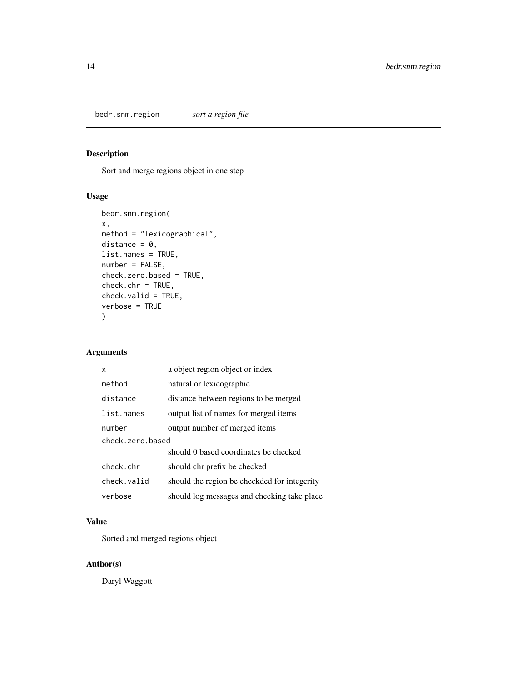<span id="page-13-0"></span>bedr.snm.region *sort a region file*

## Description

Sort and merge regions object in one step

## Usage

```
bedr.snm.region(
x,
method = "lexicographical",
distance = 0,
list.names = TRUE,
number = FALSE,
check.zero.based = TRUE,
check.chr = TRUE,
check.valid = TRUE,
verbose = TRUE
\mathcal{L}
```
## Arguments

| x                | a object region object or index              |  |
|------------------|----------------------------------------------|--|
| method           | natural or lexicographic                     |  |
| distance         | distance between regions to be merged        |  |
| list.names       | output list of names for merged items        |  |
| number           | output number of merged items                |  |
| check.zero.based |                                              |  |
|                  | should 0 based coordinates be checked        |  |
| check.chr        | should chr prefix be checked                 |  |
| check.valid      | should the region be checkded for integerity |  |
| verbose          | should log messages and checking take place  |  |

## Value

Sorted and merged regions object

## Author(s)

Daryl Waggott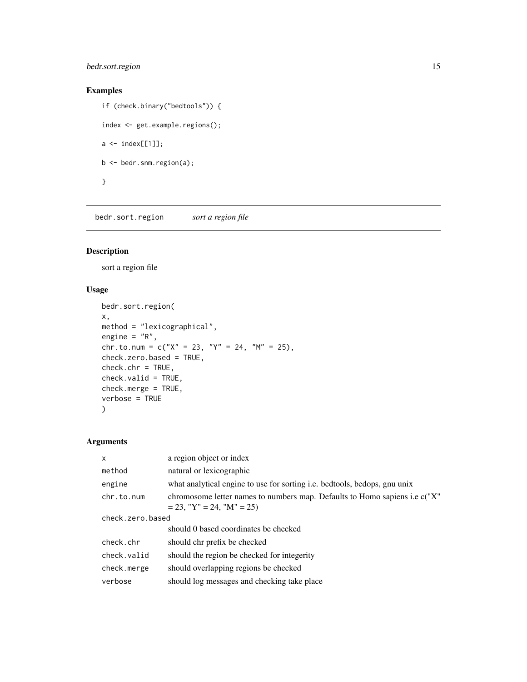## <span id="page-14-0"></span>bedr.sort.region 15

## Examples

if (check.binary("bedtools")) { index <- get.example.regions();  $a \leftarrow index[[1]]$ ; b <- bedr.snm.region(a); }

bedr.sort.region *sort a region file*

## Description

sort a region file

## Usage

```
bedr.sort.region(
x,
method = "lexicographical",
engine = "R",chr.to.num = c("X" = 23, "Y" = 24, "M" = 25),
check.zero.based = TRUE,
check.chr = TRUE,
check.valid = TRUE,
check.merge = TRUE,
verbose = TRUE
)
```
## Arguments

| $\mathsf{x}$     | a region object or index                                                                                   |  |
|------------------|------------------------------------------------------------------------------------------------------------|--|
| method           | natural or lexicographic                                                                                   |  |
| engine           | what analytical engine to use for sorting i.e. bedtools, bedops, gnu unix                                  |  |
| chr.to.num       | chromosome letter names to numbers map. Defaults to Homo sapiens i.e c("X"<br>$= 23$ , "Y" = 24, "M" = 25) |  |
| check.zero.based |                                                                                                            |  |
|                  | should 0 based coordinates be checked                                                                      |  |
| check.chr        | should chr prefix be checked                                                                               |  |
| check.valid      | should the region be checked for integerity                                                                |  |
| check.merge      | should overlapping regions be checked                                                                      |  |
| verbose          | should log messages and checking take place                                                                |  |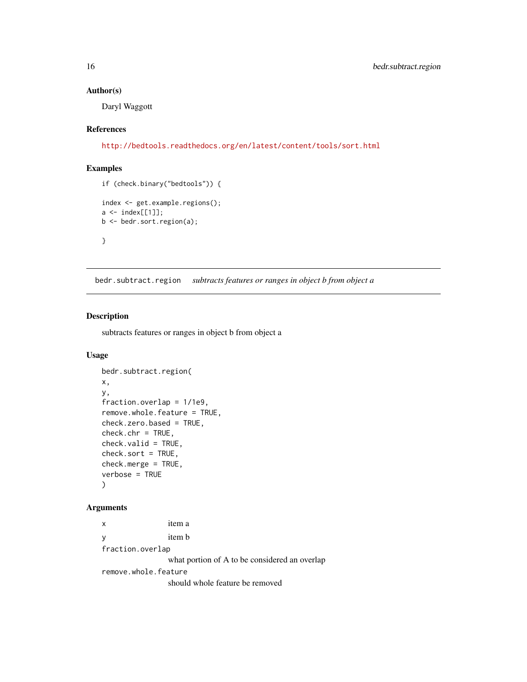## Author(s)

Daryl Waggott

#### References

<http://bedtools.readthedocs.org/en/latest/content/tools/sort.html>

#### Examples

```
if (check.binary("bedtools")) {
index <- get.example.regions();
a \leftarrow index[[1]];
b <- bedr.sort.region(a);
}
```
bedr.subtract.region *subtracts features or ranges in object b from object a*

#### Description

subtracts features or ranges in object b from object a

## Usage

```
bedr.subtract.region(
x,
y,
fraction.overlap = 1/1e9,
remove.whole.feature = TRUE,
check.zero.based = TRUE,
check.chr = TRUE,
check.valid = TRUE,
check.sort = TRUE,
check.merge = TRUE,
verbose = TRUE
)
```
#### Arguments

x item a y item b fraction.overlap

what portion of A to be considered an overlap

remove.whole.feature

should whole feature be removed

<span id="page-15-0"></span>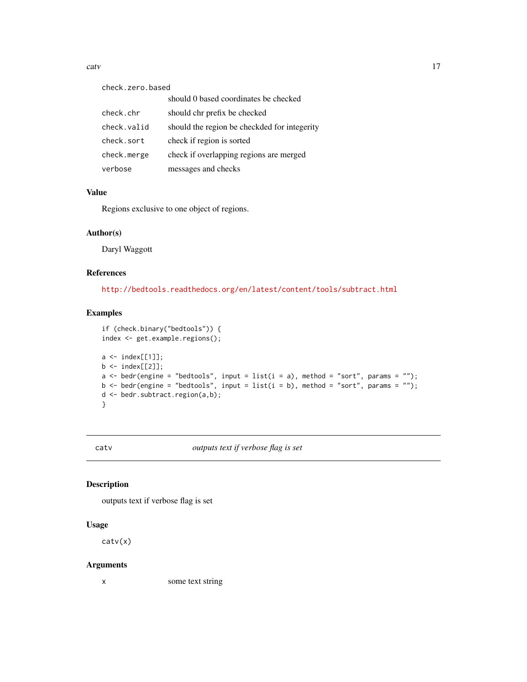<span id="page-16-0"></span>catv and the contract of the contract of the contract of the contract of the contract of the contract of the contract of the contract of the contract of the contract of the contract of the contract of the contract of the c

| check.zero.based |                                              |  |
|------------------|----------------------------------------------|--|
|                  | should 0 based coordinates be checked        |  |
| check.chr        | should chr prefix be checked                 |  |
| check.valid      | should the region be checkded for integerity |  |
| check.sort       | check if region is sorted                    |  |
| check.merge      | check if overlapping regions are merged      |  |
| verbose          | messages and checks                          |  |

#### Value

Regions exclusive to one object of regions.

## Author(s)

Daryl Waggott

#### References

<http://bedtools.readthedocs.org/en/latest/content/tools/subtract.html>

## Examples

```
if (check.binary("bedtools")) {
index <- get.example.regions();
a \leftarrow index[[1]];
b \leq index[[2]];
a \le bedr(engine = "bedtools", input = list(i = a), method = "sort", params = "");
b <- bedr(engine = "bedtools", input = list(i = b), method = "sort", params = "");
d <- bedr.subtract.region(a,b);
}
```
catv *outputs text if verbose flag is set*

#### Description

outputs text if verbose flag is set

#### Usage

catv(x)

#### Arguments

x some text string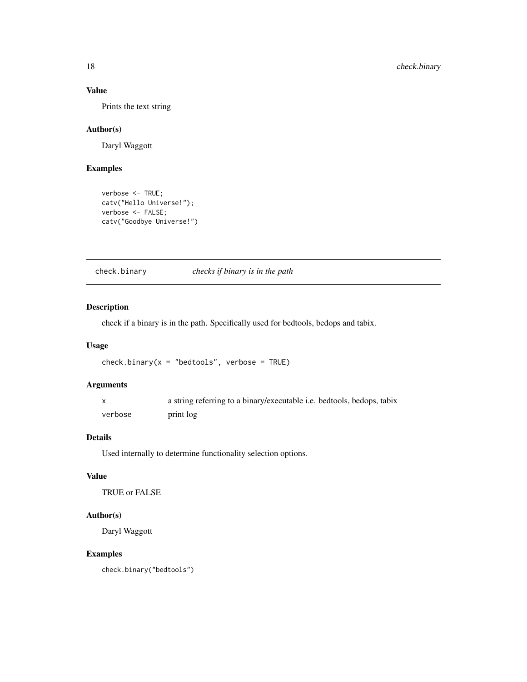## Value

Prints the text string

## Author(s)

Daryl Waggott

## Examples

```
verbose <- TRUE;
catv("Hello Universe!");
verbose <- FALSE;
catv("Goodbye Universe!")
```
check.binary *checks if binary is in the path*

## Description

check if a binary is in the path. Specifically used for bedtools, bedops and tabix.

#### Usage

```
check.binary(x = "bedtools", verbose = TRUE)
```
## Arguments

|         | a string referring to a binary/executable i.e. bedtools, bedops, tabix |
|---------|------------------------------------------------------------------------|
| verbose | print log                                                              |

## Details

Used internally to determine functionality selection options.

## Value

TRUE or FALSE

## Author(s)

Daryl Waggott

## Examples

check.binary("bedtools")

<span id="page-17-0"></span>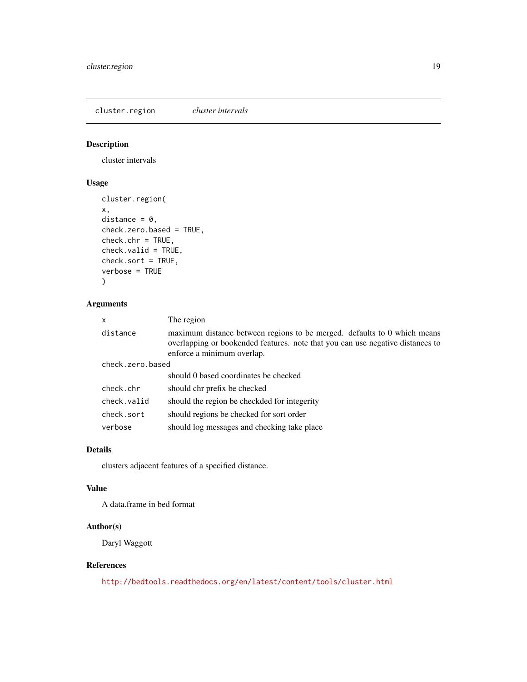<span id="page-18-0"></span>cluster.region *cluster intervals*

## Description

cluster intervals

## Usage

```
cluster.region(
x,
distance = 0,
check.zero.based = TRUE,
check.chr = TRUE,
check.valid = TRUE,
check.sort = TRUE,
verbose = TRUE
\lambda
```
## Arguments

| x                | The region                                                                                                                                                                               |  |
|------------------|------------------------------------------------------------------------------------------------------------------------------------------------------------------------------------------|--|
| distance         | maximum distance between regions to be merged. defaults to 0 which means<br>overlapping or bookended features, note that you can use negative distances to<br>enforce a minimum overlap. |  |
| check.zero.based |                                                                                                                                                                                          |  |
|                  | should 0 based coordinates be checked                                                                                                                                                    |  |
| check.chr        | should chr prefix be checked                                                                                                                                                             |  |
| check.valid      | should the region be checkded for integerity                                                                                                                                             |  |
| check.sort       | should regions be checked for sort order                                                                                                                                                 |  |
| verbose          | should log messages and checking take place                                                                                                                                              |  |

## Details

clusters adjacent features of a specified distance.

## Value

A data.frame in bed format

## Author(s)

Daryl Waggott

## References

<http://bedtools.readthedocs.org/en/latest/content/tools/cluster.html>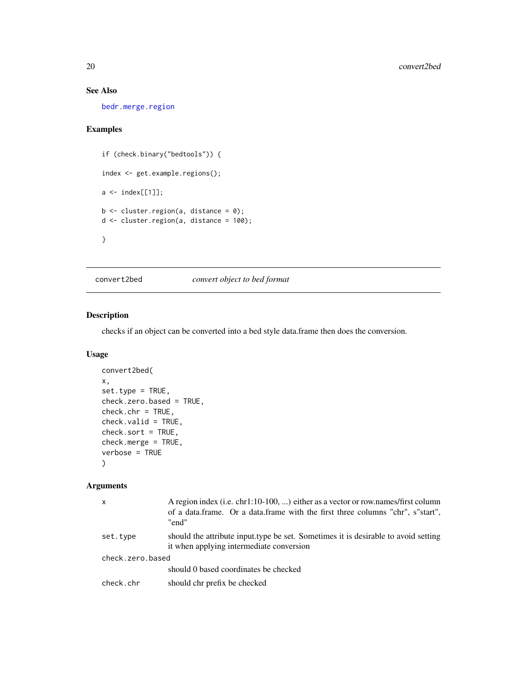## See Also

[bedr.merge.region](#page-9-1)

## Examples

```
if (check.binary("bedtools")) {
index <- get.example.regions();
a \leftarrow index[[1]];
b \leftarrow cluster.region(a, distance = 0);
d <- cluster.region(a, distance = 100);
}
```
convert2bed *convert object to bed format*

## Description

checks if an object can be converted into a bed style data.frame then does the conversion.

## Usage

```
convert2bed(
x,
set.type = TRUE,
check.zero.based = TRUE,
check.chr = TRUE,
check.valid = TRUE,
check.sort = TRUE,
check.merge = TRUE,
verbose = TRUE
)
```
#### Arguments

| $\mathsf{x}$     | A region index (i.e. $chr1:10-100, \ldots$ ) either as a vector or row.names/first column<br>of a data.frame. Or a data.frame with the first three columns "chr", s"start",<br>"end" |
|------------------|--------------------------------------------------------------------------------------------------------------------------------------------------------------------------------------|
| set.type         | should the attribute input type be set. Sometimes it is desirable to avoid setting<br>it when applying intermediate conversion                                                       |
| check.zero.based |                                                                                                                                                                                      |
|                  | should 0 based coordinates be checked                                                                                                                                                |
| check.chr        | should chr prefix be checked                                                                                                                                                         |

<span id="page-19-0"></span>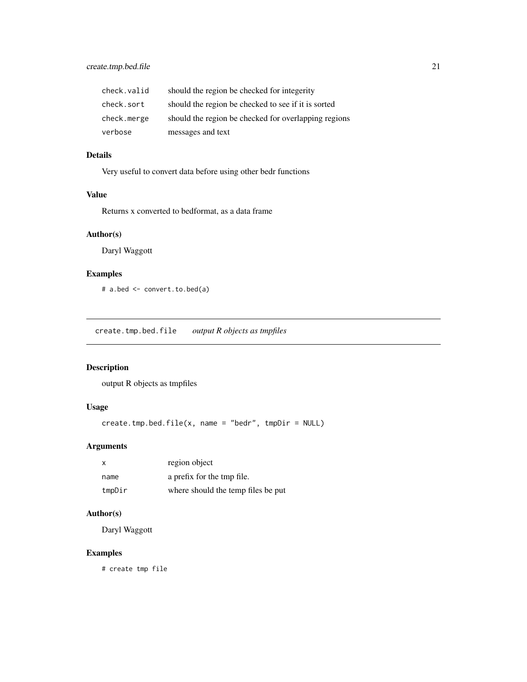<span id="page-20-0"></span>

| check.valid | should the region be checked for integerity          |
|-------------|------------------------------------------------------|
| check.sort  | should the region be checked to see if it is sorted  |
| check.merge | should the region be checked for overlapping regions |
| verbose     | messages and text                                    |

## Details

Very useful to convert data before using other bedr functions

## Value

Returns x converted to bedformat, as a data frame

#### Author(s)

Daryl Waggott

## Examples

# a.bed <- convert.to.bed(a)

create.tmp.bed.file *output R objects as tmpfiles*

## Description

output R objects as tmpfiles

## Usage

```
create.time,bed.file(x, name = "bedr", tmpDir = NULL)
```
## Arguments

| X      | region object                      |
|--------|------------------------------------|
| name   | a prefix for the tmp file.         |
| tmpDir | where should the temp files be put |

#### Author(s)

Daryl Waggott

## Examples

# create tmp file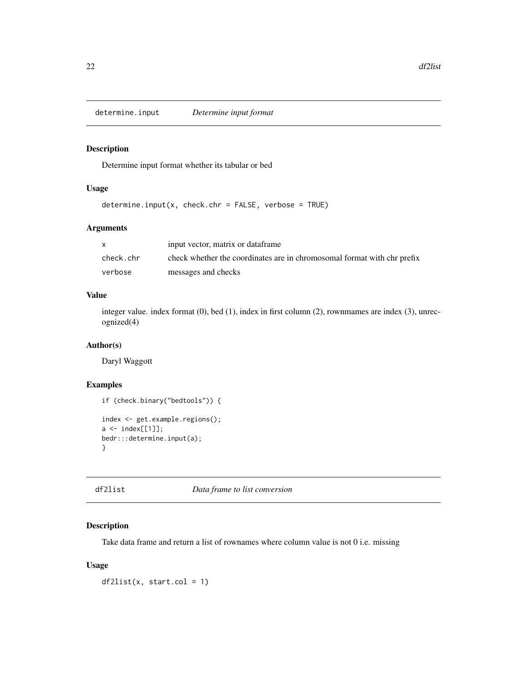<span id="page-21-0"></span>

## Description

Determine input format whether its tabular or bed

## Usage

```
determine.input(x, check.chr = FALSE, verbose = TRUE)
```
#### Arguments

|           | input vector, matrix or dataframe                                       |
|-----------|-------------------------------------------------------------------------|
| check.chr | check whether the coordinates are in chromosomal format with chr prefix |
| verbose   | messages and checks                                                     |

## Value

integer value. index format (0), bed (1), index in first column (2), rownmames are index (3), unrecognized(4)

#### Author(s)

Daryl Waggott

## Examples

```
if (check.binary("bedtools")) {
index <- get.example.regions();
a \leftarrow index[[1]];
bedr:::determine.input(a);
}
```
## df2list *Data frame to list conversion*

## Description

Take data frame and return a list of rownames where column value is not 0 i.e. missing

#### Usage

 $df2list(x, start,col = 1)$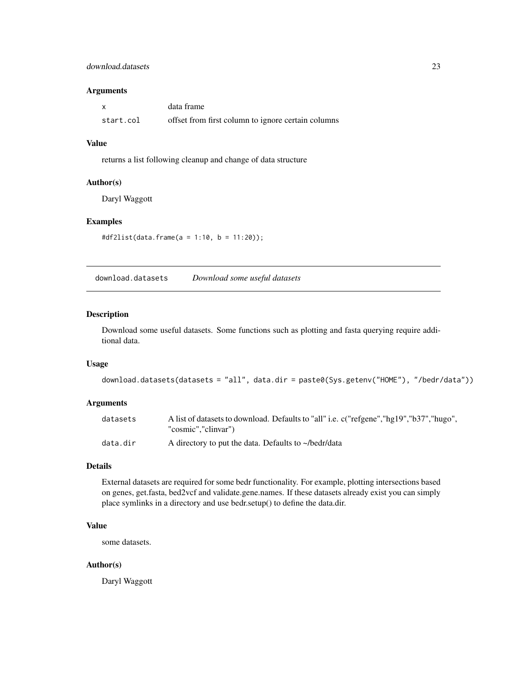## <span id="page-22-0"></span>download.datasets 23

#### Arguments

|           | data frame                                         |
|-----------|----------------------------------------------------|
| start.col | offset from first column to ignore certain columns |

#### Value

returns a list following cleanup and change of data structure

#### Author(s)

Daryl Waggott

## Examples

#df2list(data.frame(a = 1:10, b = 11:20));

download.datasets *Download some useful datasets*

#### Description

Download some useful datasets. Some functions such as plotting and fasta querying require additional data.

## Usage

```
download.datasets(datasets = "all", data.dir = paste0(Sys.getenv("HOME"), "/bedr/data"))
```
## Arguments

| datasets | A list of datasets to download. Defaults to "all" i.e. c("refgene","hg19","b37","hugo", |
|----------|-----------------------------------------------------------------------------------------|
|          | "cosmic","clinvar")                                                                     |
| data.dir | A directory to put the data. Defaults to $\sim$ /bedr/data                              |

#### Details

External datasets are required for some bedr functionality. For example, plotting intersections based on genes, get.fasta, bed2vcf and validate.gene.names. If these datasets already exist you can simply place symlinks in a directory and use bedr.setup() to define the data.dir.

## Value

some datasets.

#### Author(s)

Daryl Waggott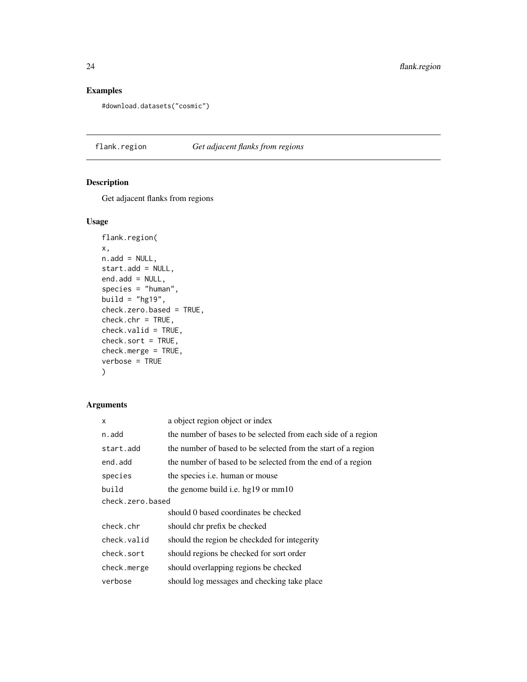## Examples

```
#download.datasets("cosmic")
```
flank.region *Get adjacent flanks from regions*

## Description

Get adjacent flanks from regions

## Usage

```
flank.region(
x,
n.add = NULL,start.add = NULL,
end.add = NULL,species = "human",
build = "hg19",
check.zero.based = TRUE,
check.chr = TRUE,check.valid = TRUE,
check.sort = TRUE,
check.merge = TRUE,
verbose = TRUE
\mathcal{L}
```
## Arguments

| X                | a object region object or index                               |  |
|------------------|---------------------------------------------------------------|--|
| n.add            | the number of bases to be selected from each side of a region |  |
| start.add        | the number of based to be selected from the start of a region |  |
| end.add          | the number of based to be selected from the end of a region   |  |
| species          | the species <i>i.e.</i> human or mouse                        |  |
| build            | the genome build i.e. hg19 or mm10                            |  |
| check.zero.based |                                                               |  |
|                  | should 0 based coordinates be checked                         |  |
| check.chr        | should chr prefix be checked                                  |  |
| check.valid      | should the region be checkded for integerity                  |  |
| check.sort       | should regions be checked for sort order                      |  |
| check.merge      | should overlapping regions be checked                         |  |
| verbose          | should log messages and checking take place                   |  |
|                  |                                                               |  |

<span id="page-23-0"></span>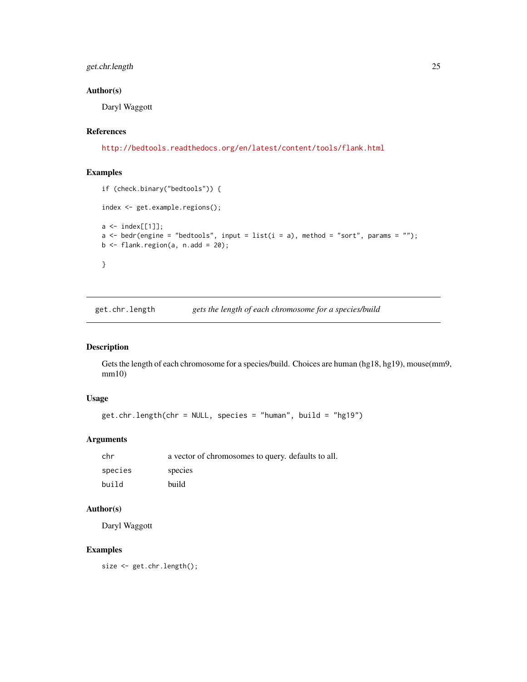## <span id="page-24-0"></span>get.chr.length 25

## Author(s)

Daryl Waggott

#### References

<http://bedtools.readthedocs.org/en/latest/content/tools/flank.html>

## Examples

```
if (check.binary("bedtools")) {
index <- get.example.regions();
a \leftarrow index[[1]];
a \le bedr(engine = "bedtools", input = list(i = a), method = "sort", params = "");
b \leftarrow flank.region(a, n.add = 20);
}
```
get.chr.length *gets the length of each chromosome for a species/build*

#### Description

Gets the length of each chromosome for a species/build. Choices are human (hg18, hg19), mouse(mm9, mm10)

## Usage

```
get.chr.length(chr = NULL, species = "human", build = "hg19")
```
## Arguments

| chr     | a vector of chromosomes to query, defaults to all. |
|---------|----------------------------------------------------|
| species | species                                            |
| build   | build                                              |

## Author(s)

Daryl Waggott

#### Examples

size <- get.chr.length();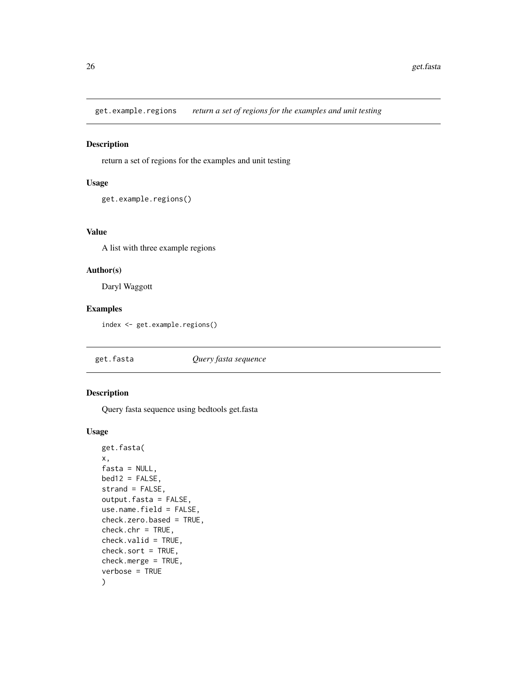<span id="page-25-0"></span>get.example.regions *return a set of regions for the examples and unit testing*

#### Description

return a set of regions for the examples and unit testing

#### Usage

```
get.example.regions()
```
#### Value

A list with three example regions

## Author(s)

Daryl Waggott

#### Examples

index <- get.example.regions()

get.fasta *Query fasta sequence*

## Description

Query fasta sequence using bedtools get.fasta

#### Usage

```
get.fasta(
x,
fasta = NULL,
bed12 = FALSE,strand = FALSE,
output.fasta = FALSE,
use.name.field = FALSE,
check.zero.based = TRUE,
check.chr = TRUE,
check.valid = TRUE,
check.sort = TRUE,
check.merge = TRUE,
verbose = TRUE
)
```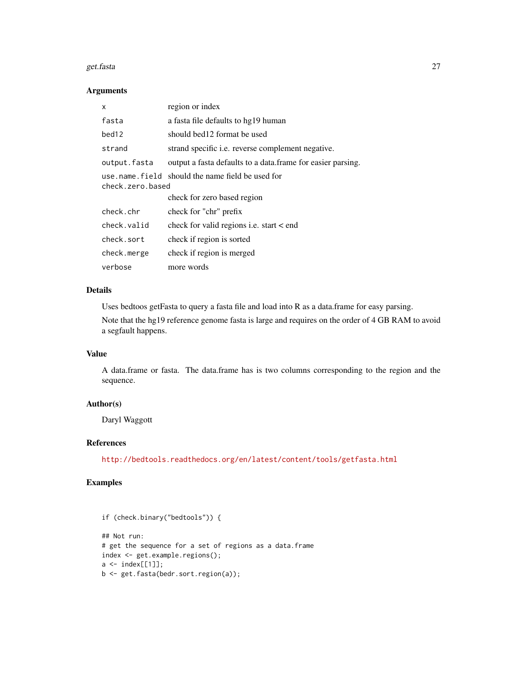#### get.fasta 27

#### Arguments

| x                 | region or index                                              |
|-------------------|--------------------------------------------------------------|
| fasta             | a fasta file defaults to hg19 human                          |
| bed <sub>12</sub> | should bed12 format be used                                  |
| strand            | strand specific <i>i.e.</i> reverse complement negative.     |
| output.fasta      | output a fasta defaults to a data. frame for easier parsing. |
| check.zero.based  | use name field should the name field be used for             |
|                   | check for zero based region                                  |
| check.chr         | check for "chr" prefix                                       |
| check.valid       | check for valid regions i.e. start < end                     |
| check.sort        | check if region is sorted                                    |
| check.merge       | check if region is merged                                    |
| verbose           | more words                                                   |

## Details

Uses bedtoos getFasta to query a fasta file and load into R as a data.frame for easy parsing.

Note that the hg19 reference genome fasta is large and requires on the order of 4 GB RAM to avoid a segfault happens.

## Value

A data.frame or fasta. The data.frame has is two columns corresponding to the region and the sequence.

## Author(s)

Daryl Waggott

## References

<http://bedtools.readthedocs.org/en/latest/content/tools/getfasta.html>

```
if (check.binary("bedtools")) {
```

```
## Not run:
# get the sequence for a set of regions as a data.frame
index <- get.example.regions();
a \leftarrow index[[1]];
b <- get.fasta(bedr.sort.region(a));
```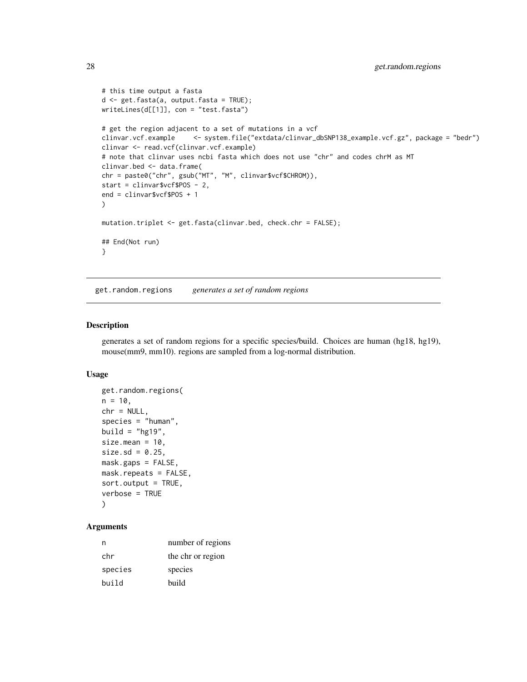```
# this time output a fasta
d <- get.fasta(a, output.fasta = TRUE);
writeLines(d[[1]], con = "test.fasta")
# get the region adjacent to a set of mutations in a vcf
clinvar.vcf.example <- system.file("extdata/clinvar_dbSNP138_example.vcf.gz", package = "bedr")
clinvar <- read.vcf(clinvar.vcf.example)
# note that clinvar uses ncbi fasta which does not use "chr" and codes chrM as MT
clinvar.bed <- data.frame(
chr = paste0("chr", gsub("MT", "M", clinvar$vcf$CHROM)),
start = clinvar$vcf$POS - 2,
end = clinvar$vcf$POS + 1
)
mutation.triplet <- get.fasta(clinvar.bed, check.chr = FALSE);
## End(Not run)
}
```
get.random.regions *generates a set of random regions*

#### Description

generates a set of random regions for a specific species/build. Choices are human (hg18, hg19), mouse(mm9, mm10). regions are sampled from a log-normal distribution.

#### Usage

```
get.random.regions(
n = 10,
chr = NULL,
species = "human",
build = "hg19",
size.mean = 10,
size.sd = 0.25,
mask.gaps = FALSE,
mask.repeats = FALSE,
sort.output = TRUE,
verbose = TRUE
)
```
## **Arguments**

| n       | number of regions |
|---------|-------------------|
| chr     | the chr or region |
| species | species           |
| build   | build             |

<span id="page-27-0"></span>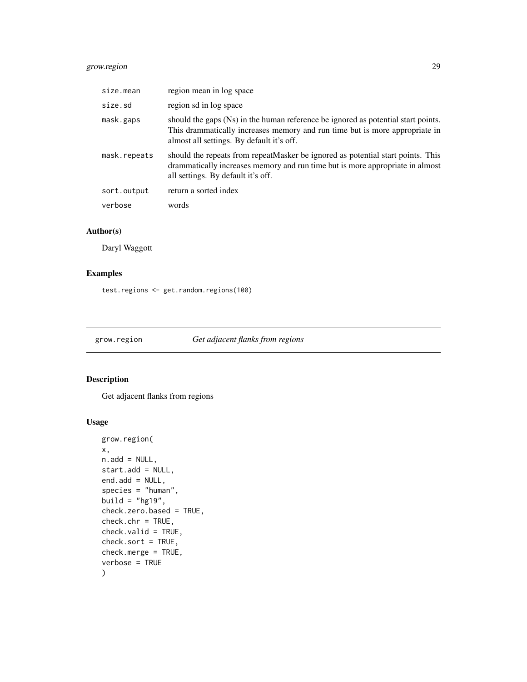## <span id="page-28-0"></span>grow.region 29

| size.mean    | region mean in log space                                                                                                                                                                                      |
|--------------|---------------------------------------------------------------------------------------------------------------------------------------------------------------------------------------------------------------|
| size.sd      | region sd in log space                                                                                                                                                                                        |
| mask.gaps    | should the gaps (Ns) in the human reference be ignored as potential start points.<br>This drammatically increases memory and run time but is more appropriate in<br>almost all settings. By default it's off. |
| mask.repeats | should the repeats from repeatMasker be ignored as potential start points. This<br>drammatically increases memory and run time but is more appropriate in almost<br>all settings. By default it's off.        |
| sort.output  | return a sorted index                                                                                                                                                                                         |
| verbose      | words                                                                                                                                                                                                         |

## Author(s)

Daryl Waggott

## Examples

test.regions <- get.random.regions(100)

grow.region *Get adjacent flanks from regions*

## Description

Get adjacent flanks from regions

## Usage

```
grow.region(
x,
n.add = NULL,start.add = NULL,
end.add = NULL,species = "human",
build = "hg19",
check.zero.based = TRUE,
check.chr = TRUE,
check.valid = TRUE,
check.sort = TRUE,
check.merge = TRUE,
verbose = TRUE
)
```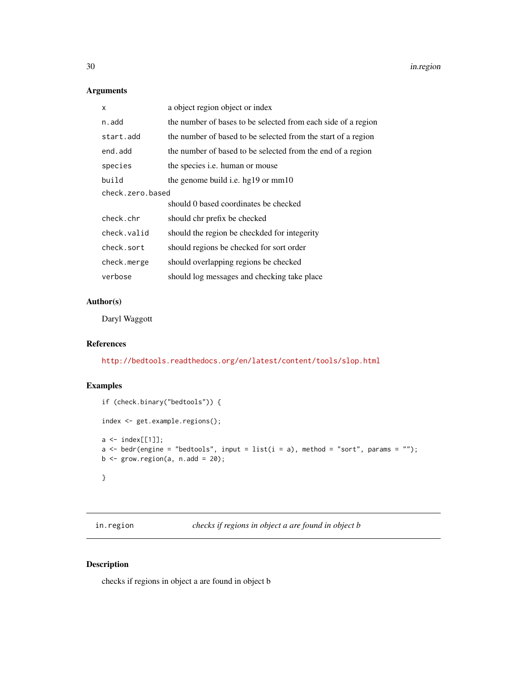## <span id="page-29-0"></span>Arguments

| X                | a object region object or index                               |  |
|------------------|---------------------------------------------------------------|--|
| n.add            | the number of bases to be selected from each side of a region |  |
| start.add        | the number of based to be selected from the start of a region |  |
| end.add          | the number of based to be selected from the end of a region   |  |
| species          | the species <i>i.e.</i> human or mouse                        |  |
| build            | the genome build i.e. hg $19 \text{ or } mm10$                |  |
| check.zero.based |                                                               |  |
|                  | should 0 based coordinates be checked                         |  |
| check.chr        | should chr prefix be checked                                  |  |
| check.valid      | should the region be checkded for integerity                  |  |
| check.sort       | should regions be checked for sort order                      |  |
| check.merge      | should overlapping regions be checked                         |  |
| verbose          | should log messages and checking take place                   |  |
|                  |                                                               |  |

#### Author(s)

Daryl Waggott

## References

<http://bedtools.readthedocs.org/en/latest/content/tools/slop.html>

## Examples

```
if (check.binary("bedtools")) {
index <- get.example.regions();
a \leftarrow index[[1]];
a <- bedr(engine = "bedtools", input = list(i = a), method = "sort", params = "");
b \leftarrow \text{grow}. \text{region}(a, n.add = 20);}
```
in.region *checks if regions in object a are found in object b*

## Description

checks if regions in object a are found in object b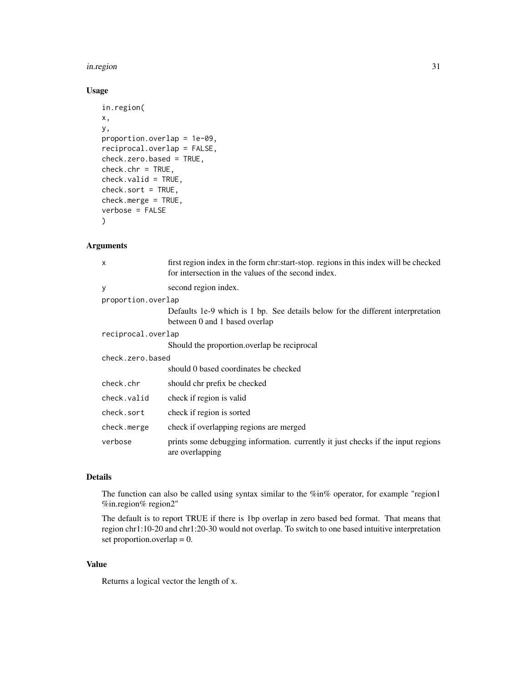#### in.region 31

## Usage

```
in.region(
x,
y,
proportion.overlap = 1e-09,
reciprocal.overlap = FALSE,
check.zero.based = TRUE,
check.chr = TRUE,
check.valid = TRUE,
check.sort = TRUE,
check.merge = TRUE,
verbose = FALSE
\mathcal{L}
```
## Arguments

| x                  | first region index in the form chr:start-stop. regions in this index will be checked<br>for intersection in the values of the second index. |  |
|--------------------|---------------------------------------------------------------------------------------------------------------------------------------------|--|
| ٧                  | second region index.                                                                                                                        |  |
| proportion.overlap |                                                                                                                                             |  |
|                    | Defaults 1e-9 which is 1 bp. See details below for the different interpretation<br>between 0 and 1 based overlap                            |  |
| reciprocal.overlap |                                                                                                                                             |  |
|                    | Should the proportion overlap be reciprocal                                                                                                 |  |
| check.zero.based   |                                                                                                                                             |  |
|                    | should 0 based coordinates be checked                                                                                                       |  |
| check.chr          | should chr prefix be checked                                                                                                                |  |
| check.valid        | check if region is valid                                                                                                                    |  |
| check.sort         | check if region is sorted                                                                                                                   |  |
| check.merge        | check if overlapping regions are merged                                                                                                     |  |
| verbose            | prints some debugging information. currently it just checks if the input regions<br>are overlapping                                         |  |

#### Details

The function can also be called using syntax similar to the %in% operator, for example "region1 %in.region% region2"

The default is to report TRUE if there is 1bp overlap in zero based bed format. That means that region chr1:10-20 and chr1:20-30 would not overlap. To switch to one based intuitive interpretation set proportion.overlap  $= 0$ .

## Value

Returns a logical vector the length of x.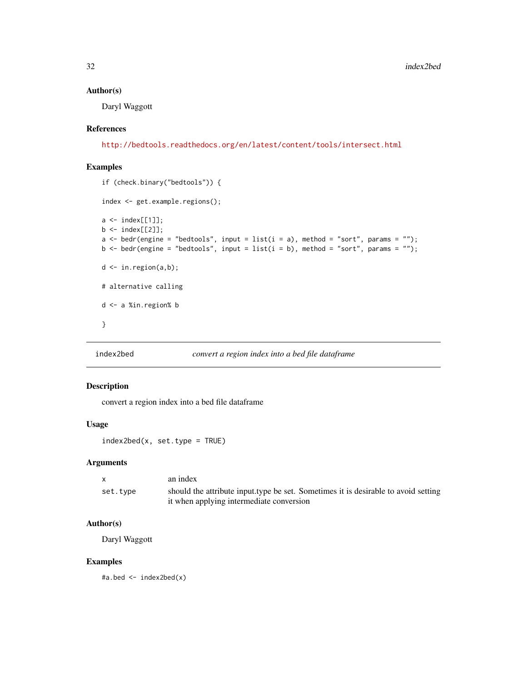#### Author(s)

Daryl Waggott

#### References

<http://bedtools.readthedocs.org/en/latest/content/tools/intersect.html>

## Examples

```
if (check.binary("bedtools")) {
index <- get.example.regions();
a \leftarrow \text{index}[[1]];
b \le - index[[2]];
a \leq bedr(engine = "bedtools", input = list(i = a), method = "sort", params = "");b \leq bedr(engine = "bedtools", input = list(i = b), method = "sort", params = "");
d \leftarrow in.\text{region}(a,b);# alternative calling
d <- a %in.region% b
}
```
## index2bed *convert a region index into a bed file dataframe*

## Description

convert a region index into a bed file dataframe

#### Usage

index2bed(x, set.type = TRUE)

#### Arguments

|          | an index                                                                           |
|----------|------------------------------------------------------------------------------------|
| set.type | should the attribute input type be set. Sometimes it is desirable to avoid setting |
|          | it when applying intermediate conversion                                           |

## Author(s)

Daryl Waggott

#### Examples

#a.bed <- index2bed(x)

<span id="page-31-0"></span>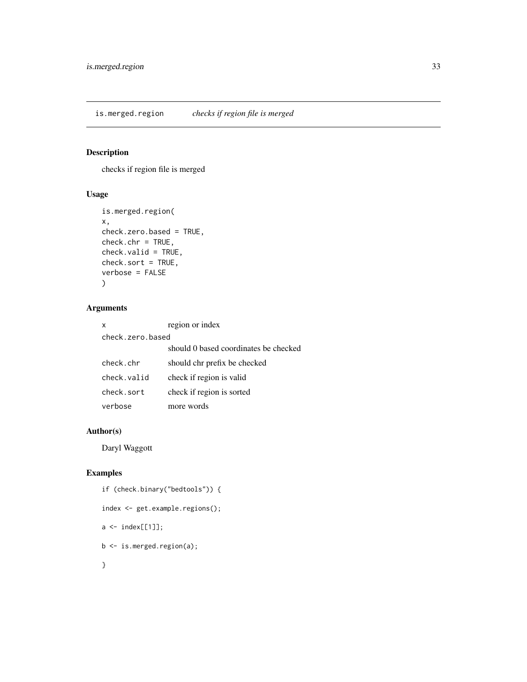<span id="page-32-0"></span>is.merged.region *checks if region file is merged*

## Description

checks if region file is merged

## Usage

```
is.merged.region(
x,
check.zero.based = TRUE,
check.chr = TRUE,
check.valid = TRUE,
check.sort = TRUE,
verbose = FALSE
\mathcal{L}
```
## Arguments

|                  | x           | region or index                       |
|------------------|-------------|---------------------------------------|
| check.zero.based |             |                                       |
|                  |             | should 0 based coordinates be checked |
|                  | check.chr   | should chr prefix be checked          |
|                  | check.valid | check if region is valid              |
|                  | check.sort  | check if region is sorted             |
|                  | verbose     | more words                            |

## Author(s)

Daryl Waggott

```
if (check.binary("bedtools")) {
index <- get.example.regions();
a \leftarrow index[[1]];
b <- is.merged.region(a);
}
```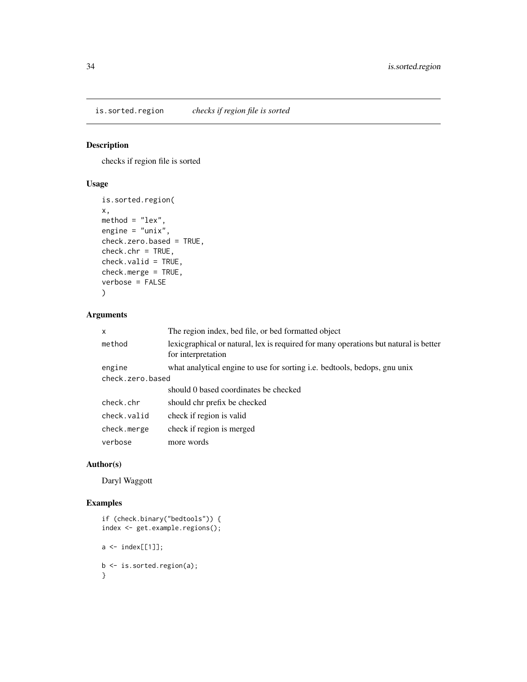<span id="page-33-0"></span>is.sorted.region *checks if region file is sorted*

## Description

checks if region file is sorted

## Usage

```
is.sorted.region(
x,
method = "lex",
engine = "unix",
check.zero.based = TRUE,
check.chr = TRUE,
check.valid = TRUE,
check.merge = TRUE,
verbose = FALSE
)
```
## Arguments

| $\mathsf{x}$     | The region index, bed file, or bed formatted object                                                         |  |
|------------------|-------------------------------------------------------------------------------------------------------------|--|
| method           | lexic graphical or natural, lex is required for many operations but natural is better<br>for interpretation |  |
| engine           | what analytical engine to use for sorting i.e. bedtools, bedops, gnu unix                                   |  |
| check.zero.based |                                                                                                             |  |
|                  | should 0 based coordinates be checked                                                                       |  |
| check.chr        | should chr prefix be checked                                                                                |  |
| check.valid      | check if region is valid                                                                                    |  |
| check.merge      | check if region is merged                                                                                   |  |
| verbose          | more words                                                                                                  |  |
|                  |                                                                                                             |  |

## Author(s)

Daryl Waggott

```
if (check.binary("bedtools")) {
index <- get.example.regions();
a \leftarrow index[[1]];
b <- is.sorted.region(a);
}
```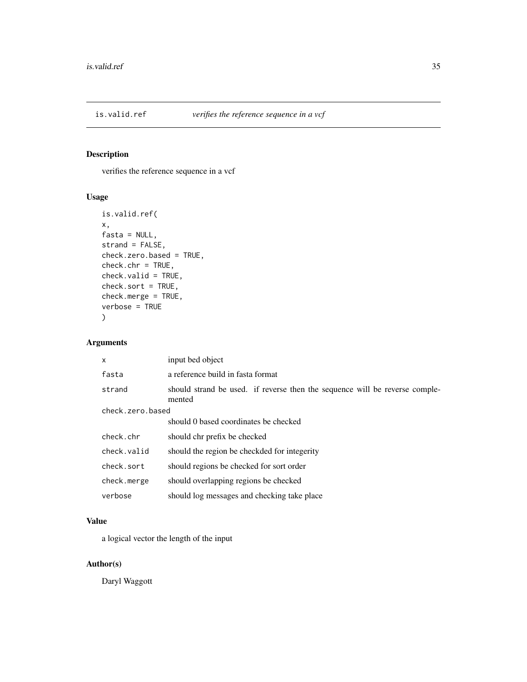<span id="page-34-0"></span>

## Description

verifies the reference sequence in a vcf

## Usage

```
is.valid.ref(
x,
fasta = NULL,
strand = FALSE,
check.zero.based = TRUE,
check.chr = TRUE,
check.valid = TRUE,
check.sort = TRUE,
check.merge = TRUE,
verbose = TRUE
)
```
## Arguments

| X                | input bed object                                                                      |  |
|------------------|---------------------------------------------------------------------------------------|--|
| fasta            | a reference build in fasta format                                                     |  |
| strand           | should strand be used. if reverse then the sequence will be reverse comple-<br>mented |  |
| check.zero.based |                                                                                       |  |
|                  | should 0 based coordinates be checked                                                 |  |
| check.chr        | should chr prefix be checked                                                          |  |
| check.valid      | should the region be checkded for integerity                                          |  |
| check.sort       | should regions be checked for sort order                                              |  |
| check.merge      | should overlapping regions be checked                                                 |  |
| verbose          | should log messages and checking take place                                           |  |

## Value

a logical vector the length of the input

## Author(s)

Daryl Waggott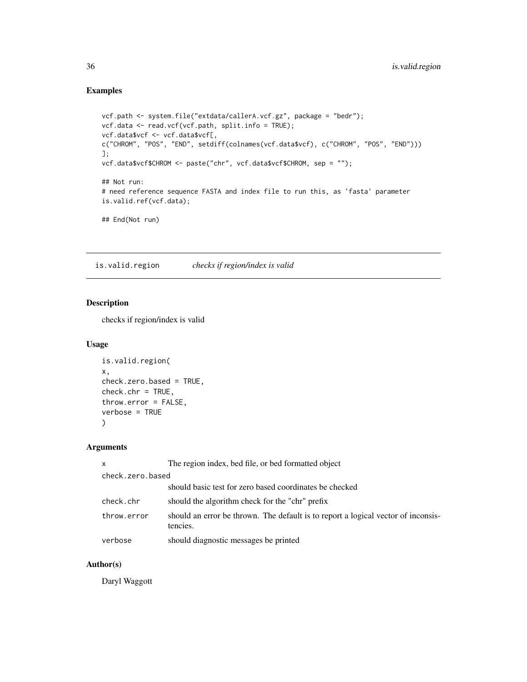## Examples

```
vcf.path <- system.file("extdata/callerA.vcf.gz", package = "bedr");
vcf.data <- read.vcf(vcf.path, split.info = TRUE);
vcf.data$vcf <- vcf.data$vcf[,
c("CHROM", "POS", "END", setdiff(colnames(vcf.data$vcf), c("CHROM", "POS", "END")))
];
vcf.data$vcf$CHROM <- paste("chr", vcf.data$vcf$CHROM, sep = "");
## Not run:
# need reference sequence FASTA and index file to run this, as 'fasta' parameter
is.valid.ref(vcf.data);
## End(Not run)
```
is.valid.region *checks if region/index is valid*

## Description

checks if region/index is valid

#### Usage

```
is.valid.region(
x,
check.zero.based = TRUE,
check.chr = TRUE,
throw.error = FALSE,
verbose = TRUE
)
```
## Arguments

| $\mathsf{x}$     | The region index, bed file, or bed formatted object                                           |  |
|------------------|-----------------------------------------------------------------------------------------------|--|
| check.zero.based |                                                                                               |  |
|                  | should basic test for zero based coordinates be checked                                       |  |
| check.chr        | should the algorithm check for the "chr" prefix                                               |  |
| throw.error      | should an error be thrown. The default is to report a logical vector of inconsis-<br>tencies. |  |
| verbose          | should diagnostic messages be printed                                                         |  |

## Author(s)

Daryl Waggott

<span id="page-35-0"></span>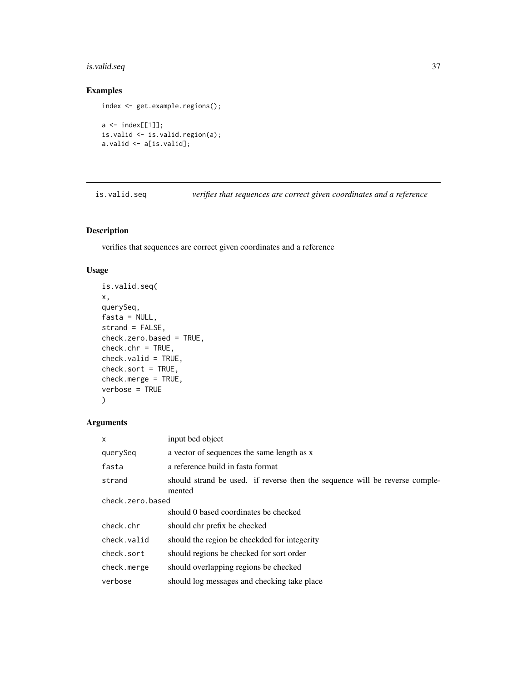## <span id="page-36-0"></span>is.valid.seq 37

## Examples

```
index <- get.example.regions();
a \leftarrow index[[1]];
is.valid <- is.valid.region(a);
a.valid <- a[is.valid];
```
is.valid.seq *verifies that sequences are correct given coordinates and a reference*

## Description

verifies that sequences are correct given coordinates and a reference

## Usage

```
is.valid.seq(
x,
querySeq,
fasta = NULL,strand = FALSE,
check.zero.based = TRUE,
check.chr = TRUE,
check.valid = TRUE,
check.sort = TRUE,
check.merge = TRUE,
verbose = TRUE
\mathcal{L}
```
#### Arguments

| X                | input bed object                                                                      |  |
|------------------|---------------------------------------------------------------------------------------|--|
| querySeq         | a vector of sequences the same length as x                                            |  |
| fasta            | a reference build in fasta format                                                     |  |
| strand           | should strand be used. if reverse then the sequence will be reverse comple-<br>mented |  |
| check.zero.based |                                                                                       |  |
|                  | should 0 based coordinates be checked                                                 |  |
| check.chr        | should chr prefix be checked                                                          |  |
| check.valid      | should the region be checkded for integerity                                          |  |
| check.sort       | should regions be checked for sort order                                              |  |
| check.merge      | should overlapping regions be checked                                                 |  |
| verbose          | should log messages and checking take place                                           |  |
|                  |                                                                                       |  |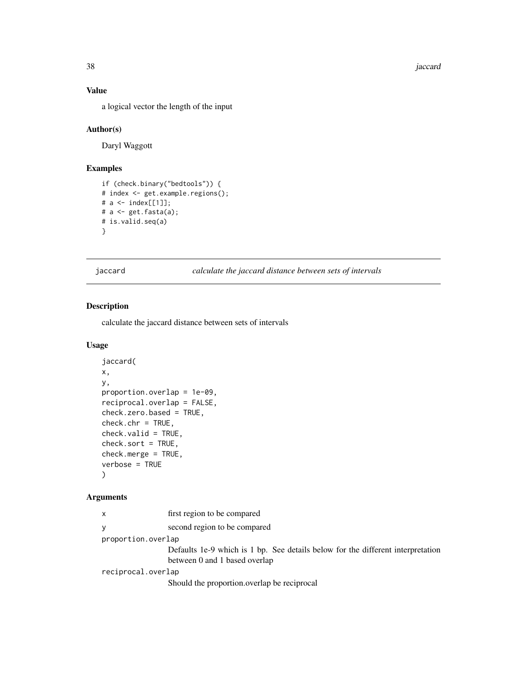38 *jaccard* 

## Value

a logical vector the length of the input

#### Author(s)

Daryl Waggott

## Examples

```
if (check.binary("bedtools")) {
# index <- get.example.regions();
# a <- index[[1]];
# a <- get.fasta(a);
# is.valid.seq(a)
}
```
jaccard *calculate the jaccard distance between sets of intervals*

#### Description

calculate the jaccard distance between sets of intervals

## Usage

```
jaccard(
x,
y,
proportion.overlap = 1e-09,
reciprocal.overlap = FALSE,
check.zero.based = TRUE,
check.chr = TRUE,
check.valid = TRUE,
check.sort = TRUE,
check.merge = TRUE,
verbose = TRUE
\mathcal{L}
```
## Arguments

| $\mathsf{x}$       | first region to be compared                                                                                      |
|--------------------|------------------------------------------------------------------------------------------------------------------|
| V                  | second region to be compared                                                                                     |
| proportion.overlap |                                                                                                                  |
|                    | Defaults 1e-9 which is 1 bp. See details below for the different interpretation<br>between 0 and 1 based overlap |
| reciprocal.overlap |                                                                                                                  |
|                    | Should the proportion overlap be reciprocal                                                                      |

<span id="page-37-0"></span>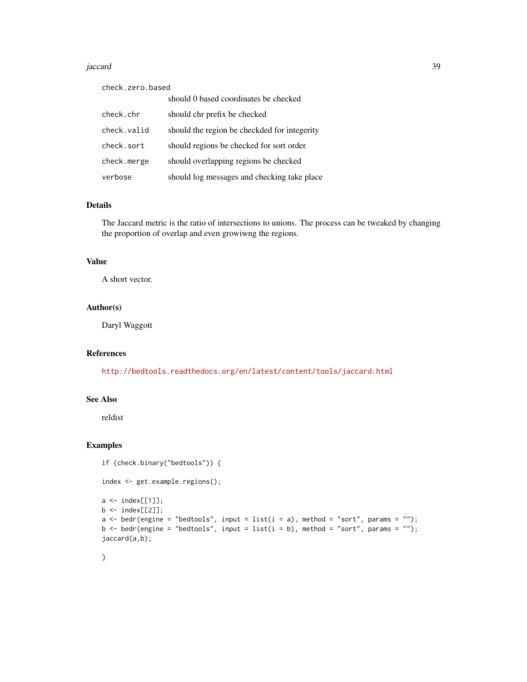#### jaccard 39

| check.zero.based |                                              |  |
|------------------|----------------------------------------------|--|
|                  | should 0 based coordinates be checked        |  |
| check.chr        | should chr prefix be checked                 |  |
| check.valid      | should the region be checkded for integerity |  |
| check.sort       | should regions be checked for sort order     |  |
| check.merge      | should overlapping regions be checked        |  |
| verbose          | should log messages and checking take place  |  |

#### Details

The Jaccard metric is the ratio of intersections to unions. The process can be tweaked by changing the proportion of overlap and even growiwng the regions.

#### Value

A short vector.

## Author(s)

Daryl Waggott

#### References

<http://bedtools.readthedocs.org/en/latest/content/tools/jaccard.html>

#### See Also

reldist

## Examples

```
if (check.binary("bedtools")) {
index <- get.example.regions();
a \leftarrow index[[1]];
b \leq index[[2]];
a \le bedr(engine = "bedtools", input = list(i = a), method = "sort", params = "");
b <- bedr(engine = "bedtools", input = list(i = b), method = "sort", params = "");
jaccard(a,b);
```
## }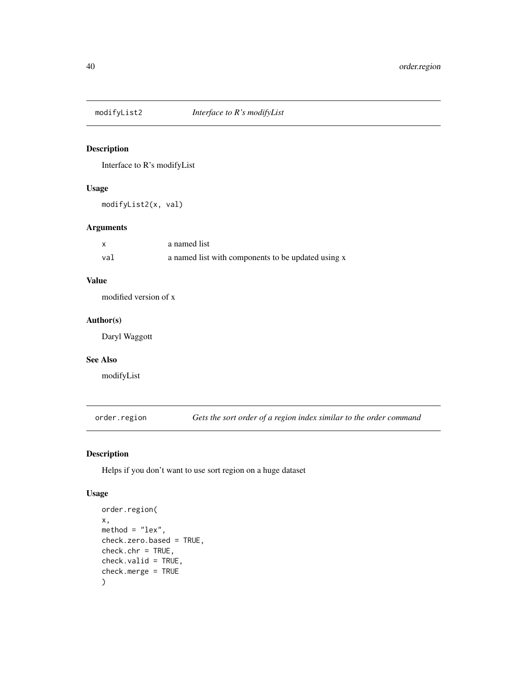<span id="page-39-0"></span>

## Description

Interface to R's modifyList

## Usage

modifyList2(x, val)

#### Arguments

|     | a named list                                       |
|-----|----------------------------------------------------|
| val | a named list with components to be updated using x |

## Value

modified version of x

#### Author(s)

Daryl Waggott

#### See Also

modifyList

order.region *Gets the sort order of a region index similar to the order command*

## Description

Helps if you don't want to use sort region on a huge dataset

## Usage

```
order.region(
x,
method = "lex",check.zero.based = TRUE,
check.chr = TRUE,
check.valid = TRUE,
check.merge = TRUE
)
```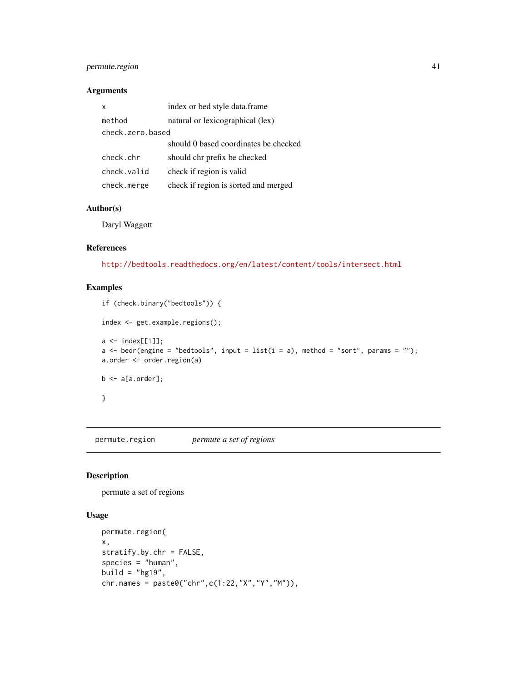## <span id="page-40-0"></span>permute.region 41

#### Arguments

| x                | index or bed style data.frame         |  |
|------------------|---------------------------------------|--|
| method           | natural or lexicographical (lex)      |  |
| check.zero.based |                                       |  |
|                  | should 0 based coordinates be checked |  |
| check.chr        | should chr prefix be checked          |  |
| check.valid      | check if region is valid              |  |
| check.merge      | check if region is sorted and merged  |  |

## Author(s)

Daryl Waggott

## References

<http://bedtools.readthedocs.org/en/latest/content/tools/intersect.html>

## Examples

```
if (check.binary("bedtools")) {
index <- get.example.regions();
a \leftarrow index[[1]];
a <- bedr(engine = "bedtools", input = list(i = a), method = "sort", params = "");
a.order <- order.region(a)
b \leftarrow a[a.order];}
```
permute.region *permute a set of regions*

## Description

permute a set of regions

## Usage

```
permute.region(
x,
stratify.by.chr = FALSE,
species = "human",
build = "hg19",
chr.name = paste0("chr", c(1:22, "X", "Y", "M")),
```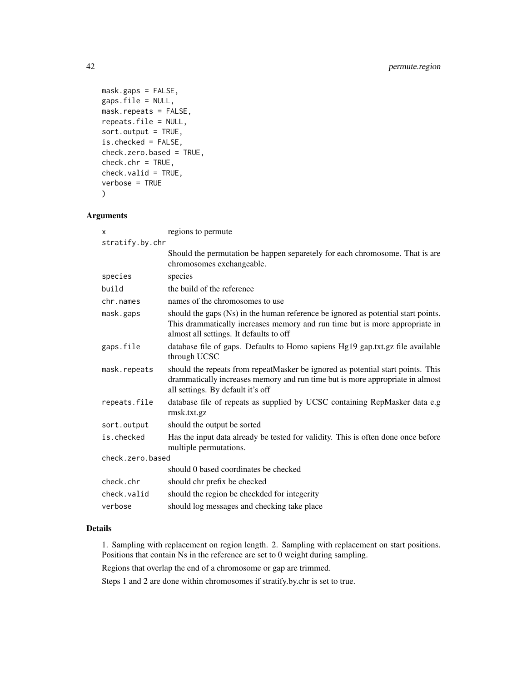```
mask.gaps = FALSE,
gaps.file = NULL,
mask.repeats = FALSE,
repeats.file = NULL,
sort.output = TRUE,
is.checked = FALSE,
check.zero.based = TRUE,
check.chr = TRUE,
check.valid = TRUE,
verbose = TRUE
\mathcal{L}
```
## Arguments

| X                | regions to permute                                                                                                                                                                                          |  |
|------------------|-------------------------------------------------------------------------------------------------------------------------------------------------------------------------------------------------------------|--|
| stratify.by.chr  |                                                                                                                                                                                                             |  |
|                  | Should the permutation be happen separetely for each chromosome. That is are<br>chromosomes exchangeable.                                                                                                   |  |
| species          | species                                                                                                                                                                                                     |  |
| build            | the build of the reference                                                                                                                                                                                  |  |
| chr.names        | names of the chromosomes to use                                                                                                                                                                             |  |
| mask.gaps        | should the gaps (Ns) in the human reference be ignored as potential start points.<br>This drammatically increases memory and run time but is more appropriate in<br>almost all settings. It defaults to off |  |
| gaps.file        | database file of gaps. Defaults to Homo sapiens Hg19 gap.txt.gz file available<br>through UCSC                                                                                                              |  |
| mask.repeats     | should the repeats from repeatMasker be ignored as potential start points. This<br>drammatically increases memory and run time but is more appropriate in almost<br>all settings. By default it's off       |  |
| repeats.file     | database file of repeats as supplied by UCSC containing RepMasker data e.g<br>rmsk.txt.gz                                                                                                                   |  |
| sort.output      | should the output be sorted                                                                                                                                                                                 |  |
| is.checked       | Has the input data already be tested for validity. This is often done once before<br>multiple permutations.                                                                                                 |  |
| check.zero.based |                                                                                                                                                                                                             |  |
|                  | should 0 based coordinates be checked                                                                                                                                                                       |  |
| check.chr        | should chr prefix be checked                                                                                                                                                                                |  |
| check.valid      | should the region be checkded for integerity                                                                                                                                                                |  |
| verbose          | should log messages and checking take place                                                                                                                                                                 |  |

## Details

1. Sampling with replacement on region length. 2. Sampling with replacement on start positions. Positions that contain Ns in the reference are set to 0 weight during sampling.

Regions that overlap the end of a chromosome or gap are trimmed.

Steps 1 and 2 are done within chromosomes if stratify.by.chr is set to true.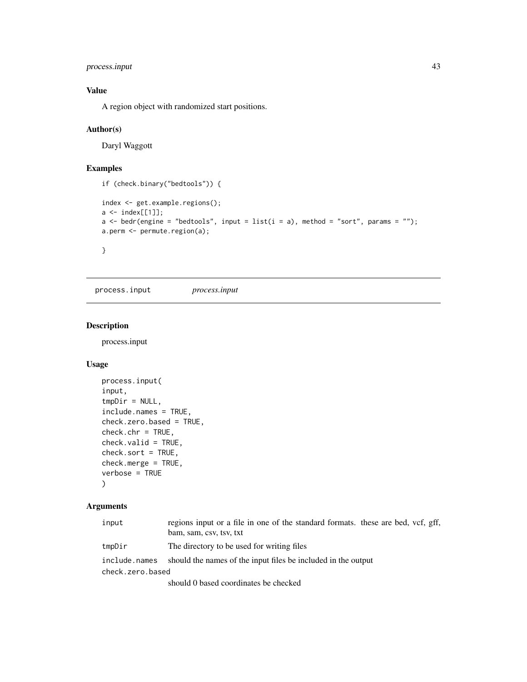## <span id="page-42-0"></span>process.input 43

## Value

A region object with randomized start positions.

#### Author(s)

Daryl Waggott

#### Examples

```
if (check.binary("bedtools")) {
index <- get.example.regions();
a <- index[[1]];
a \le bedr(engine = "bedtools", input = list(i = a), method = "sort", params = "");
a.perm <- permute.region(a);
}
```
process.input *process.input*

## Description

process.input

## Usage

```
process.input(
input,
tmpDir = NULL,include.names = TRUE,
check.zero.based = TRUE,
check.chr = TRUE,
check.valid = TRUE,
check.sort = TRUE,
check.merge = TRUE,
verbose = TRUE
\mathcal{L}
```
## Arguments

| input            | regions input or a file in one of the standard formats. these are bed, vcf, gff, |  |
|------------------|----------------------------------------------------------------------------------|--|
|                  | bam, sam, csv, tsv, txt                                                          |  |
| tmpDir           | The directory to be used for writing files                                       |  |
| include.names    | should the names of the input files be included in the output                    |  |
| check.zero.based |                                                                                  |  |
|                  | should 0 based coordinates be checked                                            |  |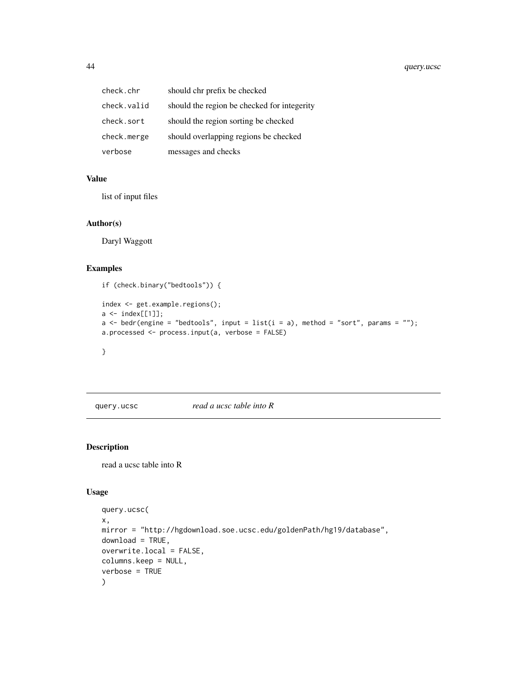<span id="page-43-0"></span>

| check.chr   | should chr prefix be checked                |
|-------------|---------------------------------------------|
| check.valid | should the region be checked for integerity |
| check.sort  | should the region sorting be checked        |
| check.merge | should overlapping regions be checked       |
| verbose     | messages and checks                         |

## Value

list of input files

#### Author(s)

Daryl Waggott

#### Examples

```
if (check.binary("bedtools")) {
index <- get.example.regions();
a \leftarrow index[[1]];
a \le bedr(engine = "bedtools", input = list(i = a), method = "sort", params = "");
a.processed <- process.input(a, verbose = FALSE)
}
```
query.ucsc *read a ucsc table into R*

#### Description

read a ucsc table into R

## Usage

```
query.ucsc(
x,
mirror = "http://hgdownload.soe.ucsc.edu/goldenPath/hg19/database",
download = TRUE,
overwrite.local = FALSE,
columns.keep = NULL,
verbose = TRUE
\mathcal{L}
```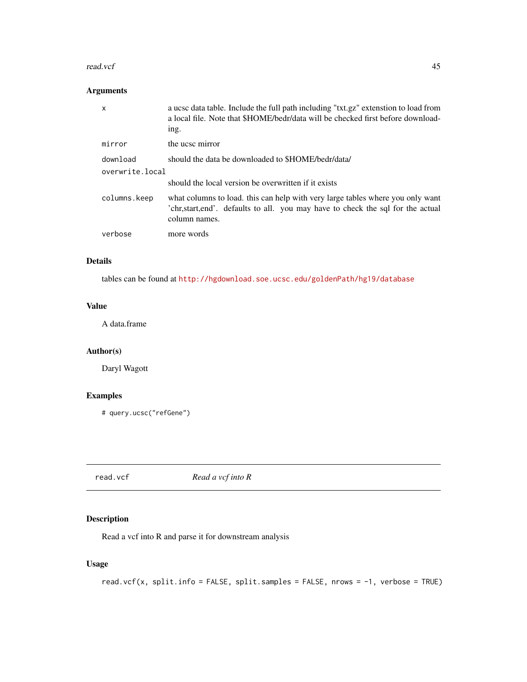#### <span id="page-44-0"></span>read.vcf 45

## Arguments

| $\mathsf{x}$    | a ucsc data table. Include the full path including "txt.gz" extenstion to load from<br>a local file. Note that \$HOME/bedr/data will be checked first before download-<br>ing.      |
|-----------------|-------------------------------------------------------------------------------------------------------------------------------------------------------------------------------------|
| mirror          | the ucsc mirror                                                                                                                                                                     |
| download        | should the data be downloaded to \$HOME/bedr/data/                                                                                                                                  |
| overwrite.local |                                                                                                                                                                                     |
|                 | should the local version be overwritten if it exists                                                                                                                                |
| columns.keep    | what columns to load. this can help with very large tables where you only want<br>'chr, start, end'. defaults to all. you may have to check the sql for the actual<br>column names. |
| verbose         | more words                                                                                                                                                                          |

## Details

tables can be found at <http://hgdownload.soe.ucsc.edu/goldenPath/hg19/database>

## Value

A data.frame

## Author(s)

Daryl Wagott

## Examples

# query.ucsc("refGene")

read.vcf *Read a vcf into R*

## Description

Read a vcf into R and parse it for downstream analysis

## Usage

```
read.vcf(x, split.info = FALSE, split.samples = FALSE, nrows = -1, verbose = TRUE)
```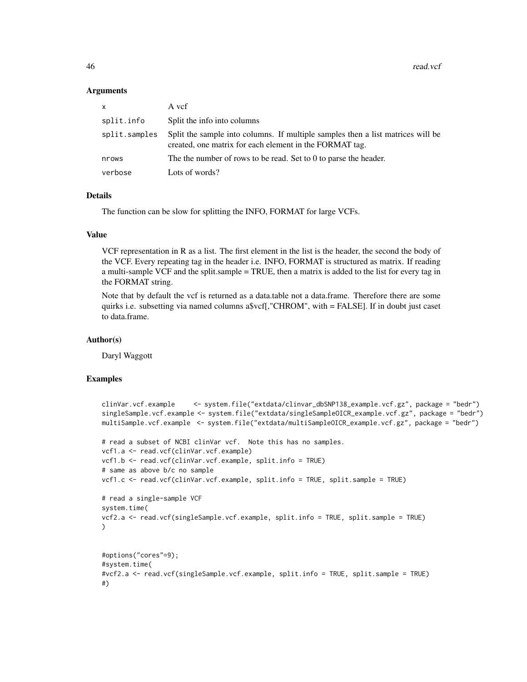#### Arguments

| $\times$      | A vcf                                                                                                                                      |
|---------------|--------------------------------------------------------------------------------------------------------------------------------------------|
| split.info    | Split the info into columns                                                                                                                |
| split.samples | Split the sample into columns. If multiple samples then a list matrices will be<br>created, one matrix for each element in the FORMAT tag. |
| nrows         | The the number of rows to be read. Set to $0$ to parse the header.                                                                         |
| verbose       | Lots of words?                                                                                                                             |

#### Details

The function can be slow for splitting the INFO, FORMAT for large VCFs.

#### Value

VCF representation in R as a list. The first element in the list is the header, the second the body of the VCF. Every repeating tag in the header i.e. INFO, FORMAT is structured as matrix. If reading a multi-sample VCF and the split.sample = TRUE, then a matrix is added to the list for every tag in the FORMAT string.

Note that by default the vcf is returned as a data.table not a data.frame. Therefore there are some quirks i.e. subsetting via named columns a\$vcf[,"CHROM", with = FALSE]. If in doubt just caset to data.frame.

#### Author(s)

Daryl Waggott

```
clinVar.vcf.example <- system.file("extdata/clinvar_dbSNP138_example.vcf.gz", package = "bedr")
singleSample.vcf.example <- system.file("extdata/singleSampleOICR_example.vcf.gz", package = "bedr")
multiSample.vcf.example <- system.file("extdata/multiSampleOICR_example.vcf.gz", package = "bedr")
# read a subset of NCBI clinVar vcf. Note this has no samples.
vcf1.a <- read.vcf(clinVar.vcf.example)
vcf1.b <- read.vcf(clinVar.vcf.example, split.info = TRUE)
# same as above b/c no sample
vcf1.c <- read.vcf(clinVar.vcf.example, split.info = TRUE, split.sample = TRUE)
# read a single-sample VCF
system.time(
vcf2.a <- read.vcf(singleSample.vcf.example, split.info = TRUE, split.sample = TRUE)
\lambda#options("cores"=9);
#system.time(
#vcf2.a <- read.vcf(singleSample.vcf.example, split.info = TRUE, split.sample = TRUE)
#)
```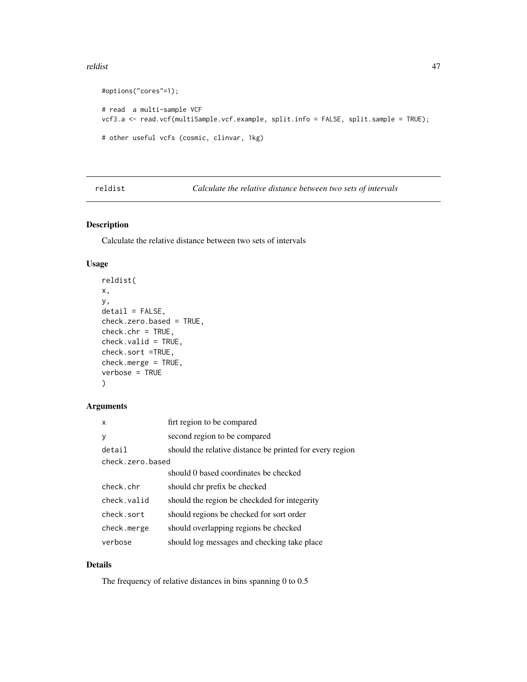#### <span id="page-46-0"></span>reldist 47

```
#options("cores"=1);
# read a multi-sample VCF
vcf3.a <- read.vcf(multiSample.vcf.example, split.info = FALSE, split.sample = TRUE);
# other useful vcfs (cosmic, clinvar, 1kg)
```
reldist *Calculate the relative distance between two sets of intervals*

## Description

Calculate the relative distance between two sets of intervals

#### Usage

```
reldist(
x,
y,
deltai1 = FALSE,check.zero.based = TRUE,
check.chr = TRUE,check.valid = TRUE,
check.sort =TRUE,
check.merge = TRUE,
verbose = TRUE
)
```
## Arguments

| x                | firt region to be compared                               |  |
|------------------|----------------------------------------------------------|--|
| y                | second region to be compared                             |  |
| detail           | should the relative distance be printed for every region |  |
| check.zero.based |                                                          |  |
|                  | should 0 based coordinates be checked                    |  |
| check.chr        | should chr prefix be checked                             |  |
| check valid      | should the region be checkded for integerity             |  |
| check.sort       | should regions be checked for sort order                 |  |
| check.merge      | should overlapping regions be checked                    |  |
| verbose          | should log messages and checking take place              |  |

## Details

The frequency of relative distances in bins spanning 0 to 0.5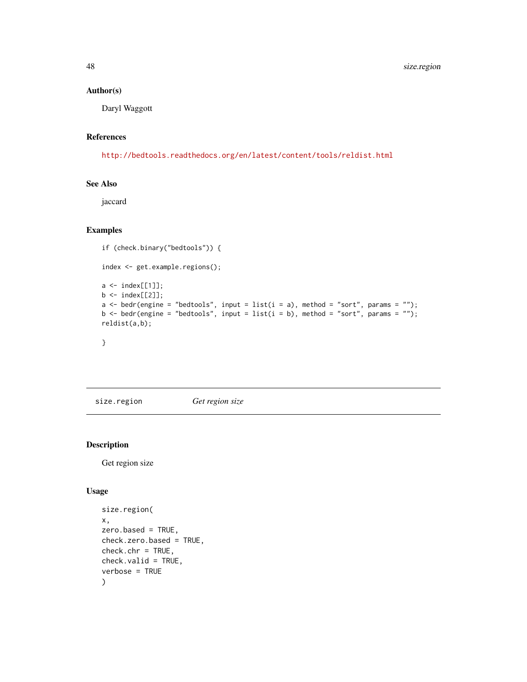## Author(s)

Daryl Waggott

## References

<http://bedtools.readthedocs.org/en/latest/content/tools/reldist.html>

## See Also

jaccard

## Examples

```
if (check.binary("bedtools")) {
index <- get.example.regions();
a \leftarrow index[[1]];
b \leftarrow \text{index}[[2]];
a \le bedr(engine = "bedtools", input = list(i = a), method = "sort", params = "");
b \le bedr(engine = "bedtools", input = list(i = b), method = "sort", params = "");
reldist(a,b);
}
```
size.region *Get region size*

## Description

Get region size

#### Usage

```
size.region(
x,
zero.based = TRUE,
check.zero.based = TRUE,
check.chr = TRUE,
check.valid = TRUE,
verbose = TRUE
)
```
<span id="page-47-0"></span>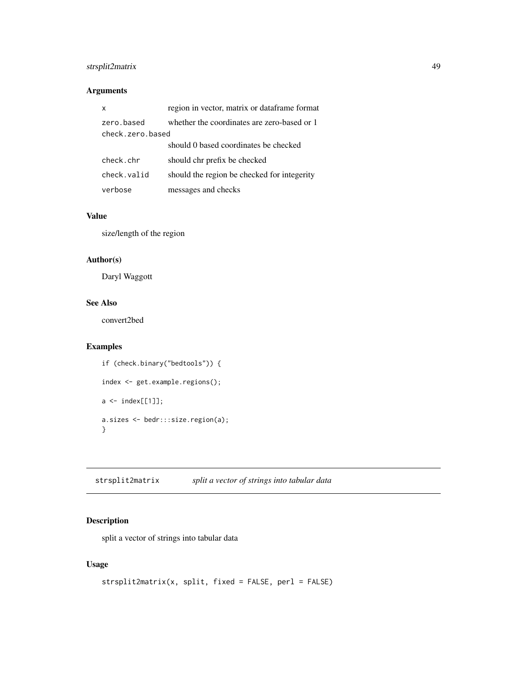## <span id="page-48-0"></span>strsplit2matrix 49

## Arguments

| X                              | region in vector, matrix or dataframe format |
|--------------------------------|----------------------------------------------|
| zero.based<br>check.zero.based | whether the coordinates are zero-based or 1  |
|                                | should 0 based coordinates be checked        |
| check.chr                      | should chr prefix be checked                 |
| check.valid                    | should the region be checked for integerity  |
| verbose                        | messages and checks                          |

## Value

size/length of the region

## Author(s)

Daryl Waggott

## See Also

convert2bed

## Examples

```
if (check.binary("bedtools")) {
index <- get.example.regions();
a \leftarrow index[[1]];
a.sizes <- bedr:::size.region(a);
}
```
strsplit2matrix *split a vector of strings into tabular data*

## Description

split a vector of strings into tabular data

## Usage

```
strsplit2matrix(x, split, fixed = FALSE, perl = FALSE)
```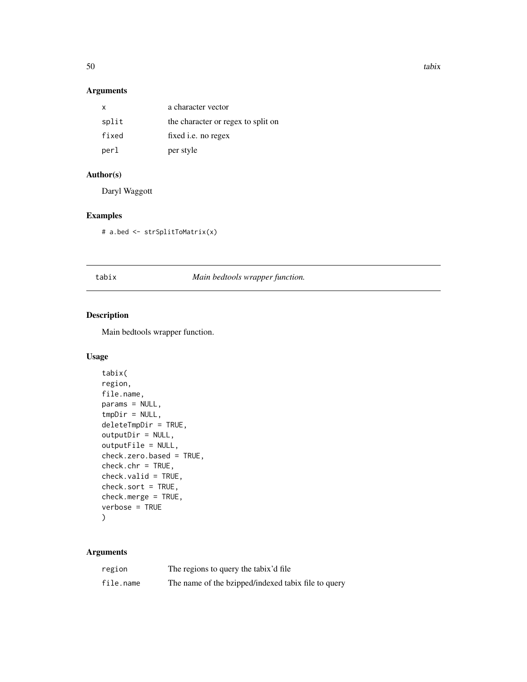<span id="page-49-0"></span>

## Arguments

| X     | a character vector                 |
|-------|------------------------------------|
| split | the character or regex to split on |
| fixed | fixed <i>i.e.</i> no regex         |
| perl  | per style                          |

## Author(s)

Daryl Waggott

## Examples

# a.bed <- strSplitToMatrix(x)

#### tabix *Main bedtools wrapper function.*

## Description

Main bedtools wrapper function.

## Usage

```
tabix(
region,
file.name,
params = NULL,
tmpDir = NULL,deleteTmpDir = TRUE,
outputDir = NULL,
outputFile = NULL,
check.zero.based = TRUE,
check.chr = TRUE,check.valid = TRUE,
check.sort = TRUE,
check.merge = TRUE,
verbose = TRUE
\mathcal{L}
```
## Arguments

| region    | The regions to query the tabix'd file               |
|-----------|-----------------------------------------------------|
| file.name | The name of the bzipped/indexed tabix file to query |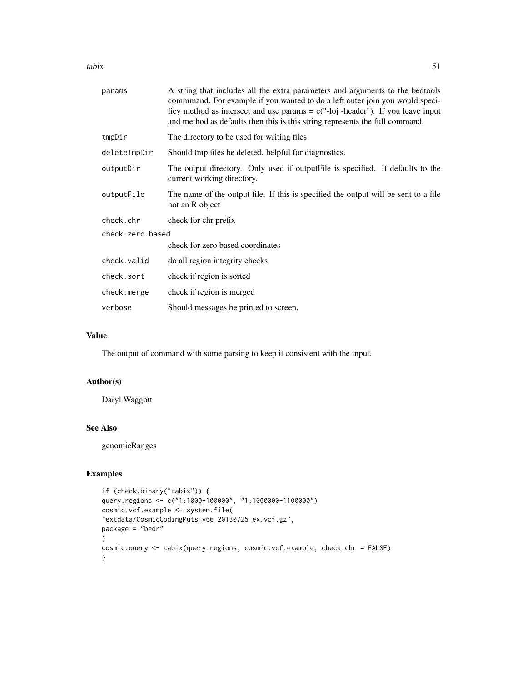tabix 51

| params           | A string that includes all the extra parameters and arguments to the bedtools<br>commmand. For example if you wanted to do a left outer join you would speci-<br>ficy method as intersect and use params = $c("-loj -header")$ . If you leave input<br>and method as defaults then this is this string represents the full command. |  |
|------------------|-------------------------------------------------------------------------------------------------------------------------------------------------------------------------------------------------------------------------------------------------------------------------------------------------------------------------------------|--|
| tmpDir           | The directory to be used for writing files                                                                                                                                                                                                                                                                                          |  |
| deleteTmpDir     | Should tmp files be deleted. helpful for diagnostics.                                                                                                                                                                                                                                                                               |  |
| outputDir        | The output directory. Only used if output File is specified. It defaults to the<br>current working directory.                                                                                                                                                                                                                       |  |
| outputFile       | The name of the output file. If this is specified the output will be sent to a file<br>not an R object                                                                                                                                                                                                                              |  |
| check.chr        | check for chr prefix                                                                                                                                                                                                                                                                                                                |  |
| check.zero.based |                                                                                                                                                                                                                                                                                                                                     |  |
|                  | check for zero based coordinates                                                                                                                                                                                                                                                                                                    |  |
| check.valid      | do all region integrity checks                                                                                                                                                                                                                                                                                                      |  |
| check.sort       | check if region is sorted                                                                                                                                                                                                                                                                                                           |  |
| check.merge      | check if region is merged                                                                                                                                                                                                                                                                                                           |  |
| verbose          | Should messages be printed to screen.                                                                                                                                                                                                                                                                                               |  |

## Value

The output of command with some parsing to keep it consistent with the input.

## Author(s)

Daryl Waggott

#### See Also

genomicRanges

```
if (check.binary("tabix")) {
query.regions <- c("1:1000-100000", "1:1000000-1100000")
cosmic.vcf.example <- system.file(
"extdata/CosmicCodingMuts_v66_20130725_ex.vcf.gz",
package = "bedr"
)
cosmic.query <- tabix(query.regions, cosmic.vcf.example, check.chr = FALSE)
}
```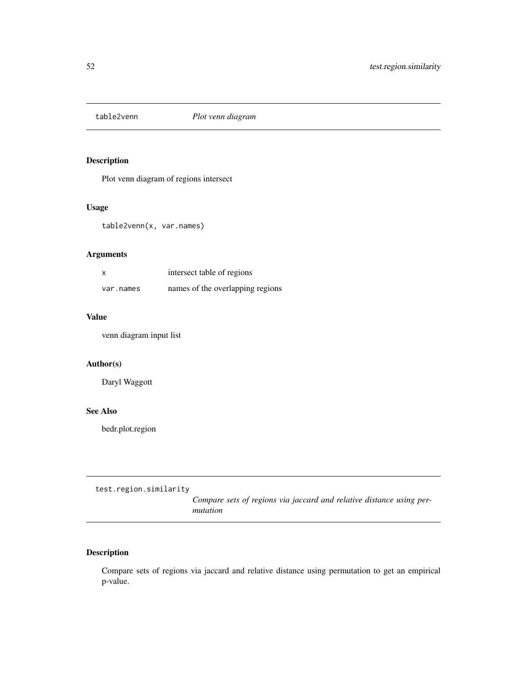<span id="page-51-0"></span>

## Description

Plot venn diagram of regions intersect

## Usage

table2venn(x, var.names)

## Arguments

| X         | intersect table of regions       |  |
|-----------|----------------------------------|--|
| var.names | names of the overlapping regions |  |

## Value

venn diagram input list

## Author(s)

Daryl Waggott

#### See Also

bedr.plot.region

test.region.similarity

*Compare sets of regions via jaccard and relative distance using permutation*

## Description

Compare sets of regions via jaccard and relative distance using permutation to get an empirical p-value.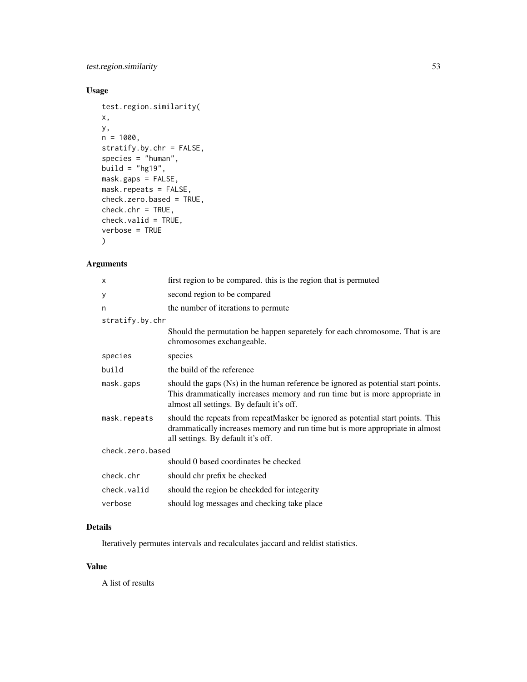## test.region.similarity 53

## Usage

```
test.region.similarity(
x,
y,
n = 1000,stratify.by.chr = FALSE,
species = "human",
build = "hg19",
mask.gaps = FALSE,
mask.repeats = FALSE,
check.zero.based = TRUE,
check.chr = TRUE,check.valid = TRUE,
verbose = TRUE
)
```
## Arguments

| x                | first region to be compared, this is the region that is permuted                                                                                                                                              |  |
|------------------|---------------------------------------------------------------------------------------------------------------------------------------------------------------------------------------------------------------|--|
| У                | second region to be compared                                                                                                                                                                                  |  |
| n                | the number of iterations to permute                                                                                                                                                                           |  |
| stratify.by.chr  |                                                                                                                                                                                                               |  |
|                  | Should the permutation be happen separetely for each chromosome. That is are<br>chromosomes exchangeable.                                                                                                     |  |
| species          | species                                                                                                                                                                                                       |  |
| build            | the build of the reference                                                                                                                                                                                    |  |
| mask.gaps        | should the gaps (Ns) in the human reference be ignored as potential start points.<br>This drammatically increases memory and run time but is more appropriate in<br>almost all settings. By default it's off. |  |
| mask.repeats     | should the repeats from repeatMasker be ignored as potential start points. This<br>drammatically increases memory and run time but is more appropriate in almost<br>all settings. By default it's off.        |  |
| check.zero.based |                                                                                                                                                                                                               |  |
|                  | should 0 based coordinates be checked                                                                                                                                                                         |  |
| check.chr        | should chr prefix be checked                                                                                                                                                                                  |  |
| check.valid      | should the region be checkded for integerity                                                                                                                                                                  |  |
| verbose          | should log messages and checking take place                                                                                                                                                                   |  |

## Details

Iteratively permutes intervals and recalculates jaccard and reldist statistics.

## Value

A list of results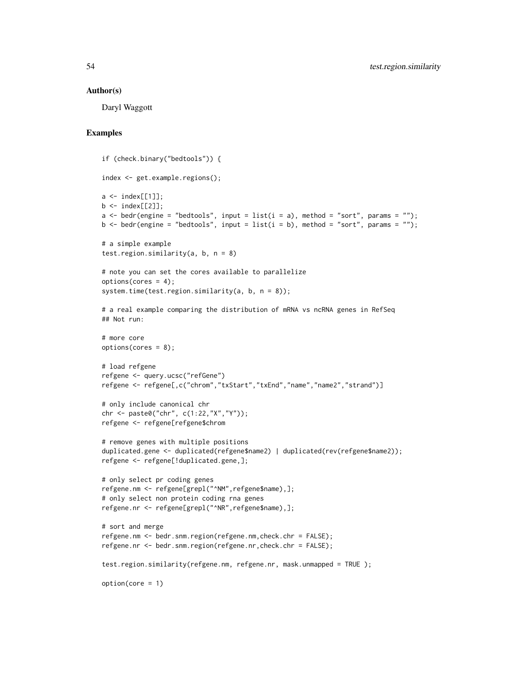#### Author(s)

Daryl Waggott

```
if (check.binary("bedtools")) {
index <- get.example.regions();
a \leftarrow \text{index}[[1]];
b \le - \text{index}[[2]];
a \le bedr(engine = "bedtools", input = list(i = a), method = "sort", params = "");
b \le bedr(engine = "bedtools", input = list(i = b), method = "sort", params = "");
# a simple example
test.region.similarity(a, b, n = 8)
# note you can set the cores available to parallelize
options(cores = 4);
system.time(test.region.similarity(a, b, n = 8));
# a real example comparing the distribution of mRNA vs ncRNA genes in RefSeq
## Not run:
# more core
options(cores = 8);
# load refgene
refgene <- query.ucsc("refGene")
refgene <- refgene[,c("chrom","txStart","txEnd","name","name2","strand")]
# only include canonical chr
chr <- paste0("chr", c(1:22,"X","Y"));
refgene <- refgene[refgene$chrom
# remove genes with multiple positions
duplicated.gene <- duplicated(refgene$name2) | duplicated(rev(refgene$name2));
refgene <- refgene[!duplicated.gene,];
# only select pr coding genes
refgene.nm <- refgene[grepl("^NM",refgene$name),];
# only select non protein coding rna genes
refgene.nr <- refgene[grepl("^NR",refgene$name),];
# sort and merge
refgene.nm <- bedr.snm.region(refgene.nm,check.chr = FALSE);
refgene.nr <- bedr.snm.region(refgene.nr,check.chr = FALSE);
test.region.similarity(refgene.nm, refgene.nr, mask.unmapped = TRUE );
option(core = 1)
```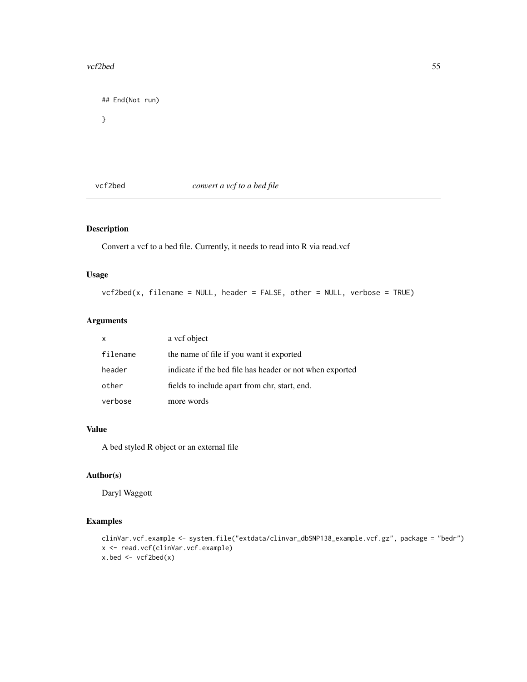#### <span id="page-54-0"></span>vcf2bed 55

## End(Not run) }

vcf2bed *convert a vcf to a bed file*

## Description

Convert a vcf to a bed file. Currently, it needs to read into R via read.vcf

## Usage

vcf2bed(x, filename = NULL, header = FALSE, other = NULL, verbose = TRUE)

## Arguments

| X        | a vcf object                                             |
|----------|----------------------------------------------------------|
| filename | the name of file if you want it exported                 |
| header   | indicate if the bed file has header or not when exported |
| other    | fields to include apart from chr, start, end.            |
| verbose  | more words                                               |

#### Value

A bed styled R object or an external file

## Author(s)

Daryl Waggott

```
clinVar.vcf.example <- system.file("extdata/clinvar_dbSNP138_example.vcf.gz", package = "bedr")
x <- read.vcf(clinVar.vcf.example)
x.bed <- vcf2bed(x)
```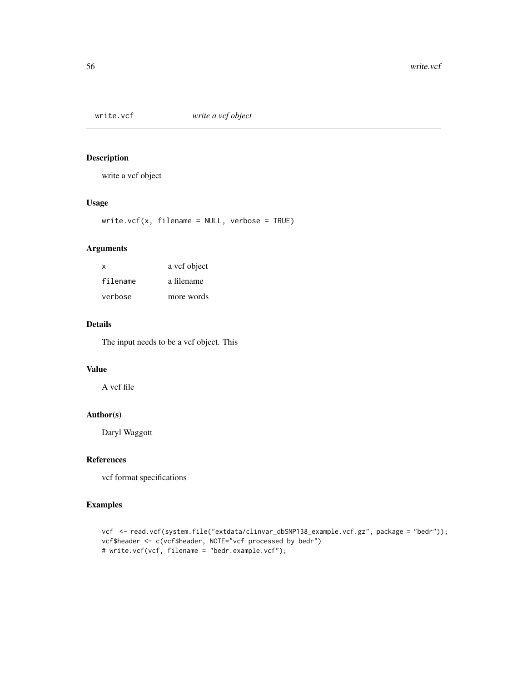<span id="page-55-0"></span>

## Description

write a vcf object

## Usage

 $write.vcf(x, filename = NULL, verbose = TRUE)$ 

## Arguments

| x        | a vcf object |
|----------|--------------|
| filename | a filename   |
| verbose  | more words   |

## Details

The input needs to be a vcf object. This

## Value

A vcf file

## Author(s)

Daryl Waggott

## References

vcf format specifications

```
vcf <- read.vcf(system.file("extdata/clinvar_dbSNP138_example.vcf.gz", package = "bedr"));
vcf$header <- c(vcf$header, NOTE="vcf processed by bedr")
# write.vcf(vcf, filename = "bedr.example.vcf");
```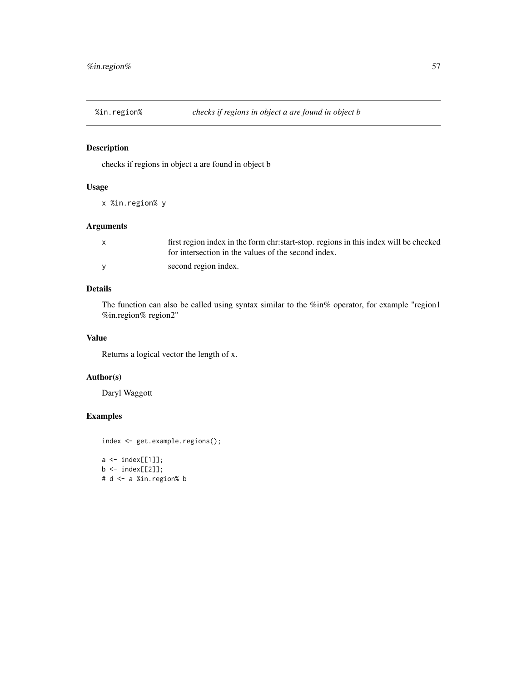<span id="page-56-0"></span>

## Description

checks if regions in object a are found in object b

## Usage

```
x %in.region% y
```
## Arguments

| first region index in the form chr:start-stop. regions in this index will be checked<br>for intersection in the values of the second index. |
|---------------------------------------------------------------------------------------------------------------------------------------------|
| second region index.                                                                                                                        |

## Details

The function can also be called using syntax similar to the %in% operator, for example "region1 %in.region% region2"

#### Value

Returns a logical vector the length of x.

#### Author(s)

Daryl Waggott

```
index <- get.example.regions();
a \leftarrow index[[1]];
b \leftarrow \text{index}[[2]];
# d <- a %in.region% b
```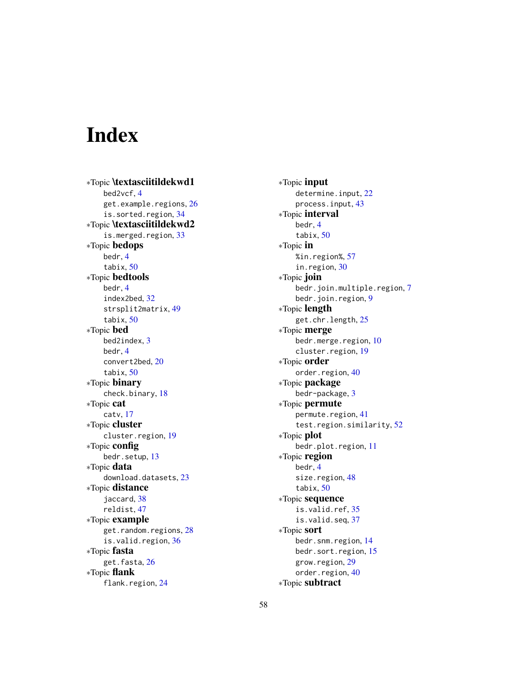# <span id="page-57-0"></span>Index

∗Topic \textasciitildekwd1 bed2vcf, [4](#page-3-0) get.example.regions, [26](#page-25-0) is.sorted.region, [34](#page-33-0) ∗Topic \textasciitildekwd2 is.merged.region, [33](#page-32-0) ∗Topic bedops bedr, [4](#page-3-0) tabix, [50](#page-49-0) ∗Topic bedtools bedr, [4](#page-3-0) index2bed, [32](#page-31-0) strsplit2matrix, [49](#page-48-0) tabix, [50](#page-49-0) ∗Topic bed bed2index, [3](#page-2-0) bedr, [4](#page-3-0) convert2bed, [20](#page-19-0) tabix, [50](#page-49-0) ∗Topic binary check.binary, [18](#page-17-0) ∗Topic cat catv, [17](#page-16-0) ∗Topic cluster cluster.region, [19](#page-18-0) ∗Topic config bedr.setup, [13](#page-12-0) ∗Topic data download.datasets, [23](#page-22-0) ∗Topic distance jaccard, [38](#page-37-0) reldist, [47](#page-46-0) ∗Topic example get.random.regions, [28](#page-27-0) is.valid.region, [36](#page-35-0) ∗Topic fasta get.fasta, [26](#page-25-0) ∗Topic flank flank.region, [24](#page-23-0)

∗Topic input determine.input, [22](#page-21-0) process.input, [43](#page-42-0) ∗Topic interval bedr, [4](#page-3-0) tabix, [50](#page-49-0) ∗Topic in %in.region%, [57](#page-56-0) in.region, [30](#page-29-0) ∗Topic join bedr.join.multiple.region, [7](#page-6-0) bedr.join.region, [9](#page-8-0) ∗Topic length get.chr.length, [25](#page-24-0) ∗Topic merge bedr.merge.region, [10](#page-9-0) cluster.region, [19](#page-18-0) ∗Topic order order.region, [40](#page-39-0) ∗Topic package bedr-package, [3](#page-2-0) ∗Topic permute permute.region, [41](#page-40-0) test.region.similarity, [52](#page-51-0) ∗Topic plot bedr.plot.region, [11](#page-10-0) ∗Topic region bedr, [4](#page-3-0) size.region, [48](#page-47-0) tabix, [50](#page-49-0) ∗Topic sequence is.valid.ref, [35](#page-34-0) is.valid.seq, [37](#page-36-0) ∗Topic sort bedr.snm.region, [14](#page-13-0) bedr.sort.region, [15](#page-14-0) grow.region, [29](#page-28-0) order.region, [40](#page-39-0) ∗Topic subtract